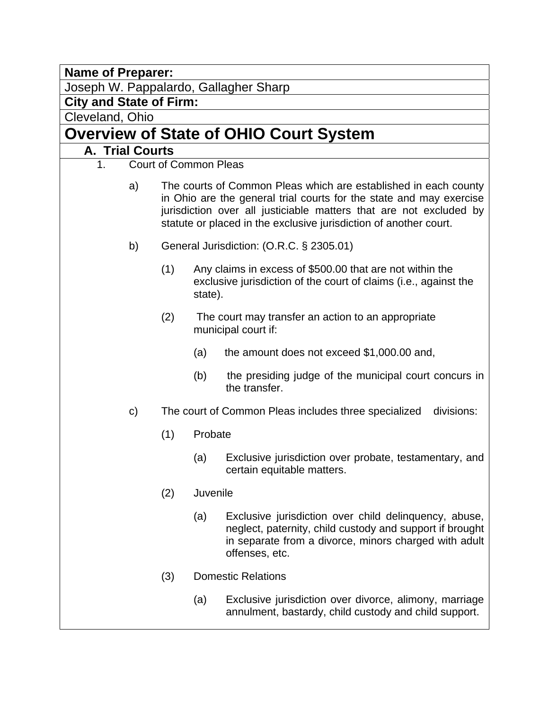**Name of Preparer:** 

Joseph W. Pappalardo, Gallagher Sharp

**City and State of Firm:** 

Cleveland, Ohio

# **Overview of State of OHIO Court System**

# **A. Trial Courts**

- 1. Court of Common Pleas
	- a) The courts of Common Pleas which are established in each county in Ohio are the general trial courts for the state and may exercise jurisdiction over all justiciable matters that are not excluded by statute or placed in the exclusive jurisdiction of another court.
	- b) General Jurisdiction: (O.R.C. § 2305.01)
		- (1) Any claims in excess of \$500.00 that are not within the exclusive jurisdiction of the court of claims (i.e., against the state).
		- (2) The court may transfer an action to an appropriate municipal court if:
			- (a) the amount does not exceed \$1,000.00 and,
			- (b) the presiding judge of the municipal court concurs in the transfer.
	- c) The court of Common Pleas includes three specialized divisions:
		- (1) Probate
			- (a) Exclusive jurisdiction over probate, testamentary, and certain equitable matters.
		- (2) Juvenile
			- (a) Exclusive jurisdiction over child delinquency, abuse, neglect, paternity, child custody and support if brought in separate from a divorce, minors charged with adult offenses, etc.
		- (3) Domestic Relations
			- (a) Exclusive jurisdiction over divorce, alimony, marriage annulment, bastardy, child custody and child support.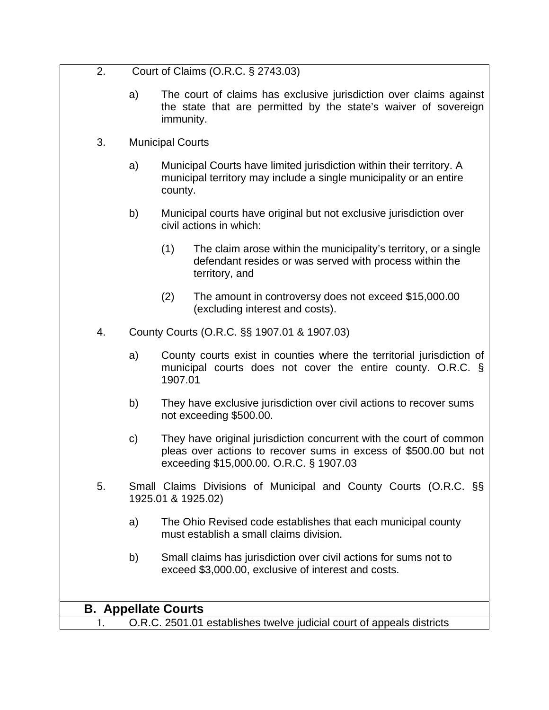| - 2. | Court of Claims (O.R.C. § 2743.03) |
|------|------------------------------------|
|      |                                    |

- a) The court of claims has exclusive jurisdiction over claims against the state that are permitted by the state's waiver of sovereign immunity.
- 3. Municipal Courts
	- a) Municipal Courts have limited jurisdiction within their territory. A municipal territory may include a single municipality or an entire county.
	- b) Municipal courts have original but not exclusive jurisdiction over civil actions in which:
		- (1) The claim arose within the municipality's territory, or a single defendant resides or was served with process within the territory, and
		- (2) The amount in controversy does not exceed \$15,000.00 (excluding interest and costs).
- 4. County Courts (O.R.C. §§ 1907.01 & 1907.03)
	- a) County courts exist in counties where the territorial jurisdiction of municipal courts does not cover the entire county. O.R.C. § 1907.01
	- b) They have exclusive jurisdiction over civil actions to recover sums not exceeding \$500.00.
	- c) They have original jurisdiction concurrent with the court of common pleas over actions to recover sums in excess of \$500.00 but not exceeding \$15,000.00. O.R.C. § 1907.03
- 5. Small Claims Divisions of Municipal and County Courts (O.R.C. §§ 1925.01 & 1925.02)
	- a) The Ohio Revised code establishes that each municipal county must establish a small claims division.
	- b) Small claims has jurisdiction over civil actions for sums not to exceed \$3,000.00, exclusive of interest and costs.

## **B. Appellate Courts**

1. O.R.C. 2501.01 establishes twelve judicial court of appeals districts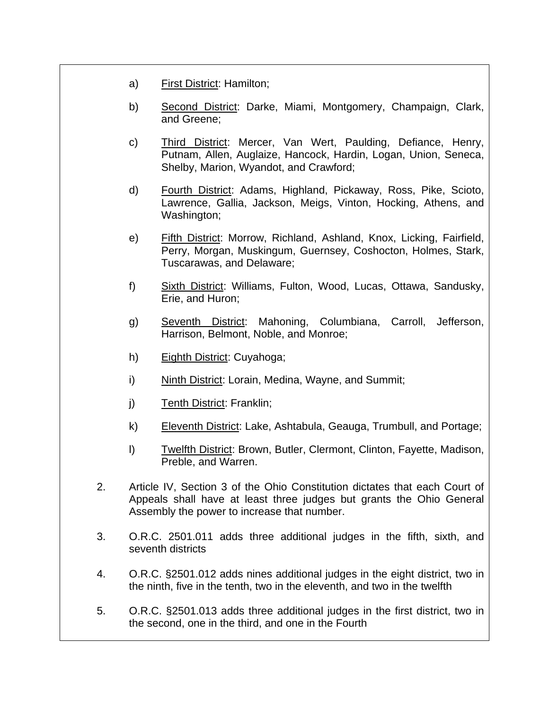- a) First District: Hamilton;
- b) Second District: Darke, Miami, Montgomery, Champaign, Clark, and Greene;
- c) Third District: Mercer, Van Wert, Paulding, Defiance, Henry, Putnam, Allen, Auglaize, Hancock, Hardin, Logan, Union, Seneca, Shelby, Marion, Wyandot, and Crawford;
- d) Fourth District: Adams, Highland, Pickaway, Ross, Pike, Scioto, Lawrence, Gallia, Jackson, Meigs, Vinton, Hocking, Athens, and Washington;
- e) Fifth District: Morrow, Richland, Ashland, Knox, Licking, Fairfield, Perry, Morgan, Muskingum, Guernsey, Coshocton, Holmes, Stark, Tuscarawas, and Delaware;
- f) Sixth District: Williams, Fulton, Wood, Lucas, Ottawa, Sandusky, Erie, and Huron;
- g) Seventh District: Mahoning, Columbiana, Carroll, Jefferson, Harrison, Belmont, Noble, and Monroe;
- h) Eighth District: Cuyahoga;
- i) Ninth District: Lorain, Medina, Wayne, and Summit;
- j) Tenth District: Franklin;
- k) Eleventh District: Lake, Ashtabula, Geauga, Trumbull, and Portage;
- l) Twelfth District: Brown, Butler, Clermont, Clinton, Fayette, Madison, Preble, and Warren.
- 2. Article IV, Section 3 of the Ohio Constitution dictates that each Court of Appeals shall have at least three judges but grants the Ohio General Assembly the power to increase that number.
- 3. O.R.C. 2501.011 adds three additional judges in the fifth, sixth, and seventh districts
- 4. O.R.C. §2501.012 adds nines additional judges in the eight district, two in the ninth, five in the tenth, two in the eleventh, and two in the twelfth
- 5. O.R.C. §2501.013 adds three additional judges in the first district, two in the second, one in the third, and one in the Fourth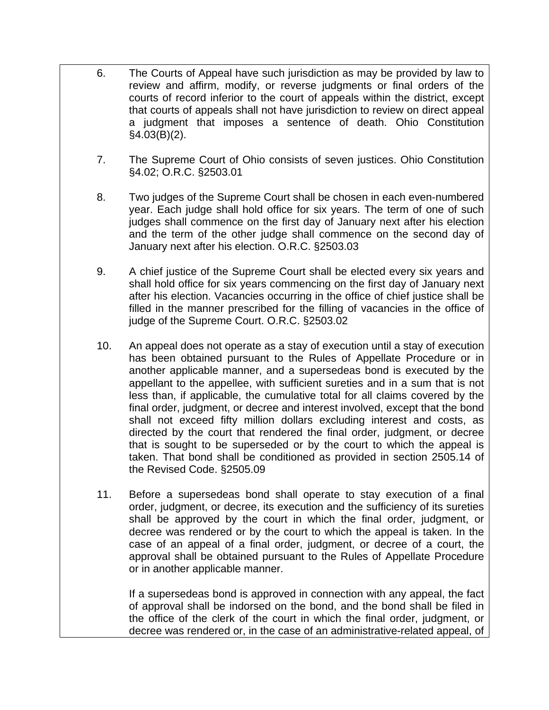- 6. The Courts of Appeal have such jurisdiction as may be provided by law to review and affirm, modify, or reverse judgments or final orders of the courts of record inferior to the court of appeals within the district, except that courts of appeals shall not have jurisdiction to review on direct appeal a judgment that imposes a sentence of death. Ohio Constitution §4.03(B)(2).
- 7. The Supreme Court of Ohio consists of seven justices. Ohio Constitution §4.02; O.R.C. §2503.01
- 8. Two judges of the Supreme Court shall be chosen in each even-numbered year. Each judge shall hold office for six years. The term of one of such judges shall commence on the first day of January next after his election and the term of the other judge shall commence on the second day of January next after his election. O.R.C. §2503.03
- 9. A chief justice of the Supreme Court shall be elected every six years and shall hold office for six years commencing on the first day of January next after his election. Vacancies occurring in the office of chief justice shall be filled in the manner prescribed for the filling of vacancies in the office of judge of the Supreme Court. O.R.C. §2503.02
- 10. An appeal does not operate as a stay of execution until a stay of execution has been obtained pursuant to the Rules of Appellate Procedure or in another applicable manner, and a supersedeas bond is executed by the appellant to the appellee, with sufficient sureties and in a sum that is not less than, if applicable, the cumulative total for all claims covered by the final order, judgment, or decree and interest involved, except that the bond shall not exceed fifty million dollars excluding interest and costs, as directed by the court that rendered the final order, judgment, or decree that is sought to be superseded or by the court to which the appeal is taken. That bond shall be conditioned as provided in section 2505.14 of the Revised Code. §2505.09
- 11. Before a supersedeas bond shall operate to stay execution of a final order, judgment, or decree, its execution and the sufficiency of its sureties shall be approved by the court in which the final order, judgment, or decree was rendered or by the court to which the appeal is taken. In the case of an appeal of a final order, judgment, or decree of a court, the approval shall be obtained pursuant to the Rules of Appellate Procedure or in another applicable manner.

If a supersedeas bond is approved in connection with any appeal, the fact of approval shall be indorsed on the bond, and the bond shall be filed in the office of the clerk of the court in which the final order, judgment, or decree was rendered or, in the case of an administrative-related appeal, of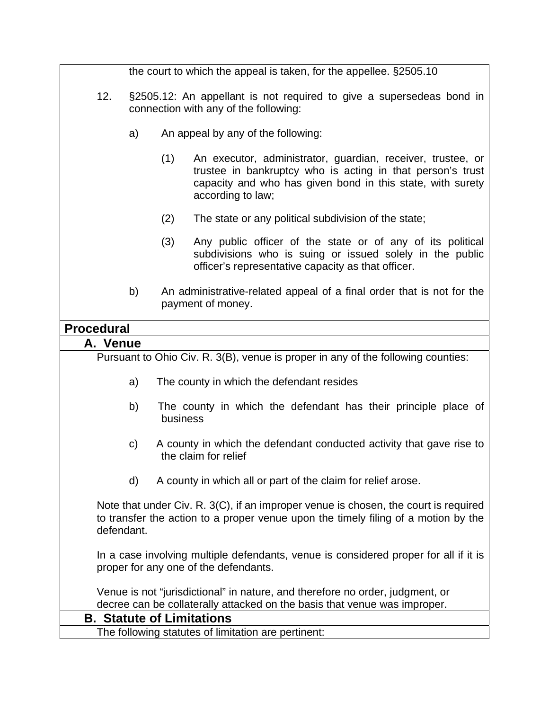|                                                                                                                                                                                         |                                                                                                                                                            | the court to which the appeal is taken, for the appellee. §2505.10                                                                                                                                                  |
|-----------------------------------------------------------------------------------------------------------------------------------------------------------------------------------------|------------------------------------------------------------------------------------------------------------------------------------------------------------|---------------------------------------------------------------------------------------------------------------------------------------------------------------------------------------------------------------------|
| 12.                                                                                                                                                                                     | §2505.12: An appellant is not required to give a supersedeas bond in<br>connection with any of the following:                                              |                                                                                                                                                                                                                     |
|                                                                                                                                                                                         | a)                                                                                                                                                         | An appeal by any of the following:                                                                                                                                                                                  |
|                                                                                                                                                                                         |                                                                                                                                                            | (1)<br>An executor, administrator, guardian, receiver, trustee, or<br>trustee in bankruptcy who is acting in that person's trust<br>capacity and who has given bond in this state, with surety<br>according to law; |
|                                                                                                                                                                                         |                                                                                                                                                            | (2)<br>The state or any political subdivision of the state;                                                                                                                                                         |
|                                                                                                                                                                                         |                                                                                                                                                            | (3)<br>Any public officer of the state or of any of its political<br>subdivisions who is suing or issued solely in the public<br>officer's representative capacity as that officer.                                 |
|                                                                                                                                                                                         | b)                                                                                                                                                         | An administrative-related appeal of a final order that is not for the<br>payment of money.                                                                                                                          |
| <b>Procedural</b>                                                                                                                                                                       |                                                                                                                                                            |                                                                                                                                                                                                                     |
| A. Venue                                                                                                                                                                                |                                                                                                                                                            |                                                                                                                                                                                                                     |
|                                                                                                                                                                                         |                                                                                                                                                            | Pursuant to Ohio Civ. R. 3(B), venue is proper in any of the following counties:                                                                                                                                    |
|                                                                                                                                                                                         | a)                                                                                                                                                         | The county in which the defendant resides                                                                                                                                                                           |
|                                                                                                                                                                                         | b)                                                                                                                                                         | The county in which the defendant has their principle place of<br>business                                                                                                                                          |
|                                                                                                                                                                                         | C)                                                                                                                                                         | A county in which the defendant conducted activity that gave rise to<br>the claim for relief                                                                                                                        |
|                                                                                                                                                                                         | d)                                                                                                                                                         | A county in which all or part of the claim for relief arose.                                                                                                                                                        |
| Note that under Civ. R. 3(C), if an improper venue is chosen, the court is required<br>to transfer the action to a proper venue upon the timely filing of a motion by the<br>defendant. |                                                                                                                                                            |                                                                                                                                                                                                                     |
|                                                                                                                                                                                         | In a case involving multiple defendants, venue is considered proper for all if it is<br>proper for any one of the defendants.                              |                                                                                                                                                                                                                     |
|                                                                                                                                                                                         | Venue is not "jurisdictional" in nature, and therefore no order, judgment, or<br>decree can be collaterally attacked on the basis that venue was improper. |                                                                                                                                                                                                                     |
|                                                                                                                                                                                         |                                                                                                                                                            | <b>B. Statute of Limitations</b>                                                                                                                                                                                    |
|                                                                                                                                                                                         |                                                                                                                                                            | The following statutes of limitation are pertinent:                                                                                                                                                                 |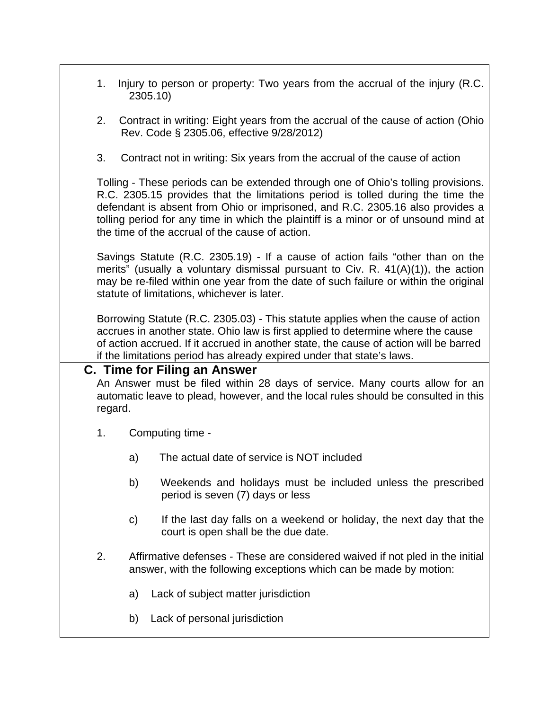| 1.      | Injury to person or property: Two years from the accrual of the injury (R.C.<br>2305.10)                                                                                                                                                                                                                                                                                                        |  |  |  |
|---------|-------------------------------------------------------------------------------------------------------------------------------------------------------------------------------------------------------------------------------------------------------------------------------------------------------------------------------------------------------------------------------------------------|--|--|--|
| 2.      | Contract in writing: Eight years from the accrual of the cause of action (Ohio<br>Rev. Code § 2305.06, effective 9/28/2012)                                                                                                                                                                                                                                                                     |  |  |  |
| 3.      | Contract not in writing: Six years from the accrual of the cause of action                                                                                                                                                                                                                                                                                                                      |  |  |  |
|         | Tolling - These periods can be extended through one of Ohio's tolling provisions.<br>R.C. 2305.15 provides that the limitations period is tolled during the time the<br>defendant is absent from Ohio or imprisoned, and R.C. 2305.16 also provides a<br>tolling period for any time in which the plaintiff is a minor or of unsound mind at<br>the time of the accrual of the cause of action. |  |  |  |
|         | Savings Statute (R.C. 2305.19) - If a cause of action fails "other than on the<br>merits" (usually a voluntary dismissal pursuant to Civ. R. 41(A)(1)), the action<br>may be re-filed within one year from the date of such failure or within the original<br>statute of limitations, whichever is later.                                                                                       |  |  |  |
|         | Borrowing Statute (R.C. 2305.03) - This statute applies when the cause of action<br>accrues in another state. Ohio law is first applied to determine where the cause<br>of action accrued. If it accrued in another state, the cause of action will be barred<br>if the limitations period has already expired under that state's laws.                                                         |  |  |  |
|         | <b>C. Time for Filing an Answer</b>                                                                                                                                                                                                                                                                                                                                                             |  |  |  |
| regard. | An Answer must be filed within 28 days of service. Many courts allow for an<br>automatic leave to plead, however, and the local rules should be consulted in this                                                                                                                                                                                                                               |  |  |  |
| 1.      | Computing time -                                                                                                                                                                                                                                                                                                                                                                                |  |  |  |
| a)      | The actual date of service is NOT included                                                                                                                                                                                                                                                                                                                                                      |  |  |  |
| b)      | Weekends and holidays must be included unless the prescribed<br>period is seven (7) days or less                                                                                                                                                                                                                                                                                                |  |  |  |
| C)      | If the last day falls on a weekend or holiday, the next day that the<br>court is open shall be the due date.                                                                                                                                                                                                                                                                                    |  |  |  |
| 2.      | Affirmative defenses - These are considered waived if not pled in the initial<br>answer, with the following exceptions which can be made by motion:                                                                                                                                                                                                                                             |  |  |  |
| a)      | Lack of subject matter jurisdiction                                                                                                                                                                                                                                                                                                                                                             |  |  |  |
| b)      | Lack of personal jurisdiction                                                                                                                                                                                                                                                                                                                                                                   |  |  |  |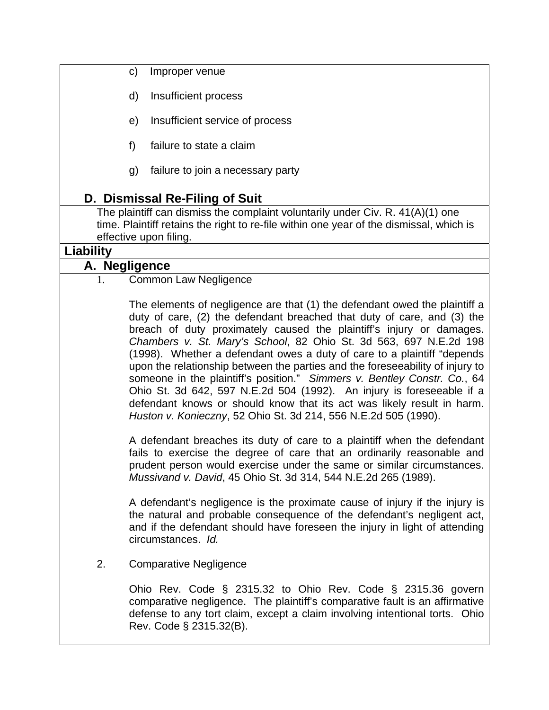- c) Improper venue
- d) Insufficient process
- e) Insufficient service of process
- f) failure to state a claim
- g) failure to join a necessary party

## **D. Dismissal Re-Filing of Suit**

The plaintiff can dismiss the complaint voluntarily under Civ. R. 41(A)(1) one time. Plaintiff retains the right to re-file within one year of the dismissal, which is effective upon filing.

### **Liability**

### **A. Negligence**

1. Common Law Negligence

The elements of negligence are that (1) the defendant owed the plaintiff a duty of care, (2) the defendant breached that duty of care, and (3) the breach of duty proximately caused the plaintiff's injury or damages. *Chambers v. St. Mary's School*, 82 Ohio St. 3d 563, 697 N.E.2d 198 (1998). Whether a defendant owes a duty of care to a plaintiff "depends upon the relationship between the parties and the foreseeability of injury to someone in the plaintiff's position." *Simmers v. Bentley Constr. Co.*, 64 Ohio St. 3d 642, 597 N.E.2d 504 (1992). An injury is foreseeable if a defendant knows or should know that its act was likely result in harm. *Huston v. Konieczny*, 52 Ohio St. 3d 214, 556 N.E.2d 505 (1990).

A defendant breaches its duty of care to a plaintiff when the defendant fails to exercise the degree of care that an ordinarily reasonable and prudent person would exercise under the same or similar circumstances. *Mussivand v. David*, 45 Ohio St. 3d 314, 544 N.E.2d 265 (1989).

A defendant's negligence is the proximate cause of injury if the injury is the natural and probable consequence of the defendant's negligent act, and if the defendant should have foreseen the injury in light of attending circumstances. *Id.*

### 2. Comparative Negligence

Ohio Rev. Code § 2315.32 to Ohio Rev. Code § 2315.36 govern comparative negligence. The plaintiff's comparative fault is an affirmative defense to any tort claim, except a claim involving intentional torts. Ohio Rev. Code § 2315.32(B).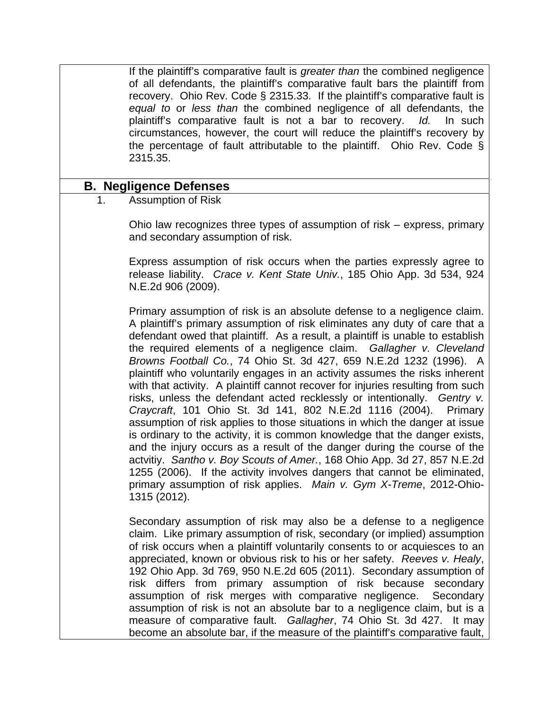If the plaintiff's comparative fault is *greater than* the combined negligence of all defendants, the plaintiff's comparative fault bars the plaintiff from recovery. Ohio Rev. Code § 2315.33. If the plaintiff's comparative fault is *equal to* or *less than* the combined negligence of all defendants, the plaintiff's comparative fault is not a bar to recovery. *Id.* In such circumstances, however, the court will reduce the plaintiff's recovery by the percentage of fault attributable to the plaintiff. Ohio Rev. Code § 2315.35.

### **B. Negligence Defenses**

1. Assumption of Risk

Ohio law recognizes three types of assumption of risk – express, primary and secondary assumption of risk.

Express assumption of risk occurs when the parties expressly agree to release liability. *Crace v. Kent State Univ.*, 185 Ohio App. 3d 534, 924 N.E.2d 906 (2009).

Primary assumption of risk is an absolute defense to a negligence claim. A plaintiff's primary assumption of risk eliminates any duty of care that a defendant owed that plaintiff. As a result, a plaintiff is unable to establish the required elements of a negligence claim. *Gallagher v. Cleveland Browns Football Co.*, 74 Ohio St. 3d 427, 659 N.E.2d 1232 (1996). A plaintiff who voluntarily engages in an activity assumes the risks inherent with that activity. A plaintiff cannot recover for injuries resulting from such risks, unless the defendant acted recklessly or intentionally. *Gentry v. Craycraft*, 101 Ohio St. 3d 141, 802 N.E.2d 1116 (2004). Primary assumption of risk applies to those situations in which the danger at issue is ordinary to the activity, it is common knowledge that the danger exists, and the injury occurs as a result of the danger during the course of the actvitiy. *Santho v. Boy Scouts of Amer.*, 168 Ohio App. 3d 27, 857 N.E.2d 1255 (2006). If the activity involves dangers that cannot be eliminated, primary assumption of risk applies. *Main v. Gym X-Treme*, 2012-Ohio-1315 (2012).

Secondary assumption of risk may also be a defense to a negligence claim. Like primary assumption of risk, secondary (or implied) assumption of risk occurs when a plaintiff voluntarily consents to or acquiesces to an appreciated, known or obvious risk to his or her safety. *Reeves v. Healy*, 192 Ohio App. 3d 769, 950 N.E.2d 605 (2011). Secondary assumption of risk differs from primary assumption of risk because secondary assumption of risk merges with comparative negligence. Secondary assumption of risk is not an absolute bar to a negligence claim, but is a measure of comparative fault. *Gallagher*, 74 Ohio St. 3d 427. It may become an absolute bar, if the measure of the plaintiff's comparative fault,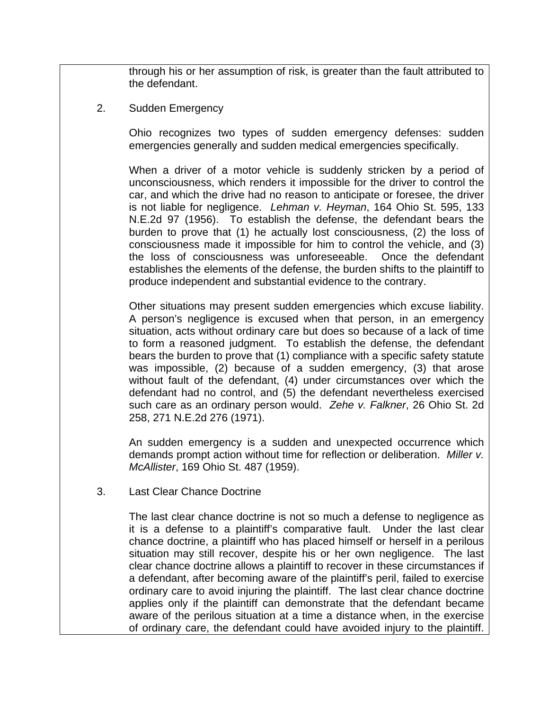through his or her assumption of risk, is greater than the fault attributed to the defendant.

2. Sudden Emergency

Ohio recognizes two types of sudden emergency defenses: sudden emergencies generally and sudden medical emergencies specifically.

When a driver of a motor vehicle is suddenly stricken by a period of unconsciousness, which renders it impossible for the driver to control the car, and which the drive had no reason to anticipate or foresee, the driver is not liable for negligence. *Lehman v. Heyman*, 164 Ohio St. 595, 133 N.E.2d 97 (1956). To establish the defense, the defendant bears the burden to prove that (1) he actually lost consciousness, (2) the loss of consciousness made it impossible for him to control the vehicle, and (3) the loss of consciousness was unforeseeable. Once the defendant establishes the elements of the defense, the burden shifts to the plaintiff to produce independent and substantial evidence to the contrary.

Other situations may present sudden emergencies which excuse liability. A person's negligence is excused when that person, in an emergency situation, acts without ordinary care but does so because of a lack of time to form a reasoned judgment. To establish the defense, the defendant bears the burden to prove that (1) compliance with a specific safety statute was impossible, (2) because of a sudden emergency, (3) that arose without fault of the defendant, (4) under circumstances over which the defendant had no control, and (5) the defendant nevertheless exercised such care as an ordinary person would. *Zehe v. Falkner*, 26 Ohio St. 2d 258, 271 N.E.2d 276 (1971).

An sudden emergency is a sudden and unexpected occurrence which demands prompt action without time for reflection or deliberation. *Miller v. McAllister*, 169 Ohio St. 487 (1959).

3. Last Clear Chance Doctrine

The last clear chance doctrine is not so much a defense to negligence as it is a defense to a plaintiff's comparative fault. Under the last clear chance doctrine, a plaintiff who has placed himself or herself in a perilous situation may still recover, despite his or her own negligence. The last clear chance doctrine allows a plaintiff to recover in these circumstances if a defendant, after becoming aware of the plaintiff's peril, failed to exercise ordinary care to avoid injuring the plaintiff. The last clear chance doctrine applies only if the plaintiff can demonstrate that the defendant became aware of the perilous situation at a time a distance when, in the exercise of ordinary care, the defendant could have avoided injury to the plaintiff.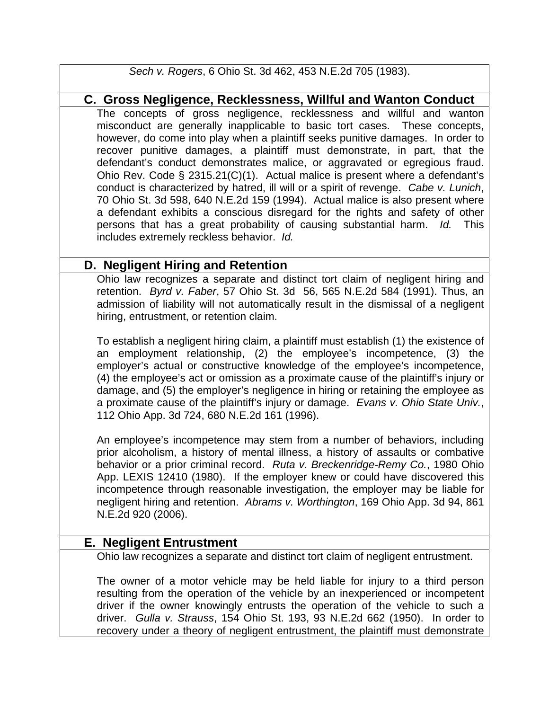*Sech v. Rogers*, 6 Ohio St. 3d 462, 453 N.E.2d 705 (1983).

## **C. Gross Negligence, Recklessness, Willful and Wanton Conduct**

The concepts of gross negligence, recklessness and willful and wanton misconduct are generally inapplicable to basic tort cases. These concepts, however, do come into play when a plaintiff seeks punitive damages. In order to recover punitive damages, a plaintiff must demonstrate, in part, that the defendant's conduct demonstrates malice, or aggravated or egregious fraud. Ohio Rev. Code § 2315.21(C)(1). Actual malice is present where a defendant's conduct is characterized by hatred, ill will or a spirit of revenge. *Cabe v. Lunich*, 70 Ohio St. 3d 598, 640 N.E.2d 159 (1994). Actual malice is also present where a defendant exhibits a conscious disregard for the rights and safety of other persons that has a great probability of causing substantial harm. *Id.* This includes extremely reckless behavior. *Id.*

## **D. Negligent Hiring and Retention**

Ohio law recognizes a separate and distinct tort claim of negligent hiring and retention. *Byrd v. Faber*, 57 Ohio St. 3d 56, 565 N.E.2d 584 (1991). Thus, an admission of liability will not automatically result in the dismissal of a negligent hiring, entrustment, or retention claim.

To establish a negligent hiring claim, a plaintiff must establish (1) the existence of an employment relationship, (2) the employee's incompetence, (3) the employer's actual or constructive knowledge of the employee's incompetence, (4) the employee's act or omission as a proximate cause of the plaintiff's injury or damage, and (5) the employer's negligence in hiring or retaining the employee as a proximate cause of the plaintiff's injury or damage. *Evans v. Ohio State Univ.*, 112 Ohio App. 3d 724, 680 N.E.2d 161 (1996).

An employee's incompetence may stem from a number of behaviors, including prior alcoholism, a history of mental illness, a history of assaults or combative behavior or a prior criminal record. *Ruta v. Breckenridge-Remy Co.*, 1980 Ohio App. LEXIS 12410 (1980). If the employer knew or could have discovered this incompetence through reasonable investigation, the employer may be liable for negligent hiring and retention. *Abrams v. Worthington*, 169 Ohio App. 3d 94, 861 N.E.2d 920 (2006).

## **E. Negligent Entrustment**

Ohio law recognizes a separate and distinct tort claim of negligent entrustment.

The owner of a motor vehicle may be held liable for injury to a third person resulting from the operation of the vehicle by an inexperienced or incompetent driver if the owner knowingly entrusts the operation of the vehicle to such a driver. *Gulla v. Strauss*, 154 Ohio St. 193, 93 N.E.2d 662 (1950). In order to recovery under a theory of negligent entrustment, the plaintiff must demonstrate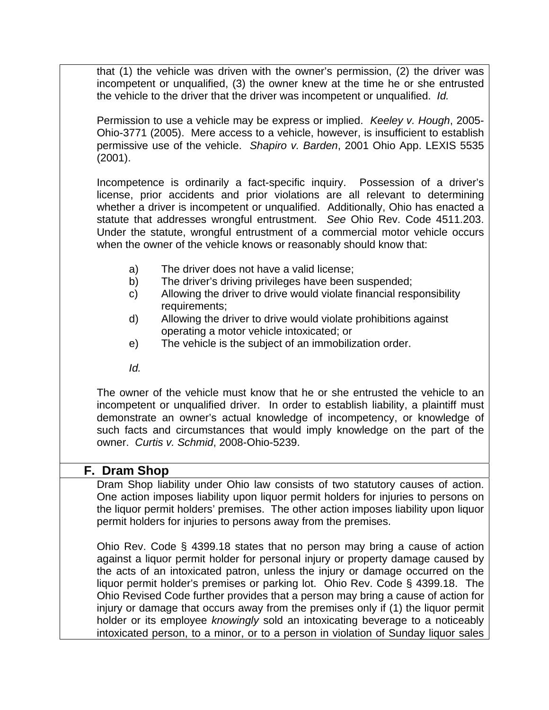that (1) the vehicle was driven with the owner's permission, (2) the driver was incompetent or unqualified, (3) the owner knew at the time he or she entrusted the vehicle to the driver that the driver was incompetent or unqualified. *Id.*

Permission to use a vehicle may be express or implied. *Keeley v. Hough*, 2005- Ohio-3771 (2005). Mere access to a vehicle, however, is insufficient to establish permissive use of the vehicle. *Shapiro v. Barden*, 2001 Ohio App. LEXIS 5535 (2001).

Incompetence is ordinarily a fact-specific inquiry. Possession of a driver's license, prior accidents and prior violations are all relevant to determining whether a driver is incompetent or unqualified. Additionally, Ohio has enacted a statute that addresses wrongful entrustment. *See* Ohio Rev. Code 4511.203. Under the statute, wrongful entrustment of a commercial motor vehicle occurs when the owner of the vehicle knows or reasonably should know that:

- a) The driver does not have a valid license;
- b) The driver's driving privileges have been suspended;
- c) Allowing the driver to drive would violate financial responsibility requirements;
- d) Allowing the driver to drive would violate prohibitions against operating a motor vehicle intoxicated; or
- e) The vehicle is the subject of an immobilization order.
- *Id.*

The owner of the vehicle must know that he or she entrusted the vehicle to an incompetent or unqualified driver. In order to establish liability, a plaintiff must demonstrate an owner's actual knowledge of incompetency, or knowledge of such facts and circumstances that would imply knowledge on the part of the owner. *Curtis v. Schmid*, 2008-Ohio-5239.

### **F. Dram Shop**

Dram Shop liability under Ohio law consists of two statutory causes of action. One action imposes liability upon liquor permit holders for injuries to persons on the liquor permit holders' premises. The other action imposes liability upon liquor permit holders for injuries to persons away from the premises.

Ohio Rev. Code § 4399.18 states that no person may bring a cause of action against a liquor permit holder for personal injury or property damage caused by the acts of an intoxicated patron, unless the injury or damage occurred on the liquor permit holder's premises or parking lot. Ohio Rev. Code § 4399.18. The Ohio Revised Code further provides that a person may bring a cause of action for injury or damage that occurs away from the premises only if (1) the liquor permit holder or its employee *knowingly* sold an intoxicating beverage to a noticeably intoxicated person, to a minor, or to a person in violation of Sunday liquor sales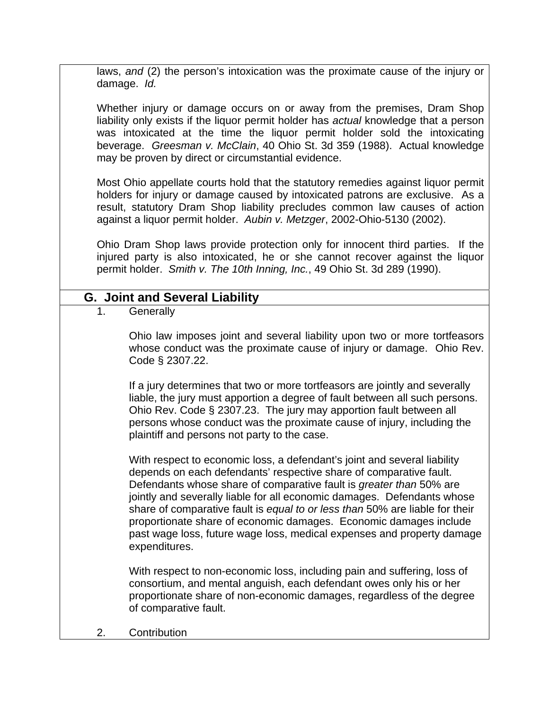laws, *and* (2) the person's intoxication was the proximate cause of the injury or damage. *Id.*

Whether injury or damage occurs on or away from the premises, Dram Shop liability only exists if the liquor permit holder has *actual* knowledge that a person was intoxicated at the time the liquor permit holder sold the intoxicating beverage. *Greesman v. McClain*, 40 Ohio St. 3d 359 (1988). Actual knowledge may be proven by direct or circumstantial evidence.

Most Ohio appellate courts hold that the statutory remedies against liquor permit holders for injury or damage caused by intoxicated patrons are exclusive. As a result, statutory Dram Shop liability precludes common law causes of action against a liquor permit holder. *Aubin v. Metzger*, 2002-Ohio-5130 (2002).

Ohio Dram Shop laws provide protection only for innocent third parties. If the injured party is also intoxicated, he or she cannot recover against the liquor permit holder. *Smith v. The 10th Inning, Inc.*, 49 Ohio St. 3d 289 (1990).

## **G. Joint and Several Liability**

1. Generally

Ohio law imposes joint and several liability upon two or more tortfeasors whose conduct was the proximate cause of injury or damage. Ohio Rev. Code § 2307.22.

If a jury determines that two or more tortfeasors are jointly and severally liable, the jury must apportion a degree of fault between all such persons. Ohio Rev. Code § 2307.23. The jury may apportion fault between all persons whose conduct was the proximate cause of injury, including the plaintiff and persons not party to the case.

With respect to economic loss, a defendant's joint and several liability depends on each defendants' respective share of comparative fault. Defendants whose share of comparative fault is *greater than* 50% are jointly and severally liable for all economic damages. Defendants whose share of comparative fault is *equal to or less than* 50% are liable for their proportionate share of economic damages. Economic damages include past wage loss, future wage loss, medical expenses and property damage expenditures.

With respect to non-economic loss, including pain and suffering, loss of consortium, and mental anguish, each defendant owes only his or her proportionate share of non-economic damages, regardless of the degree of comparative fault.

2. Contribution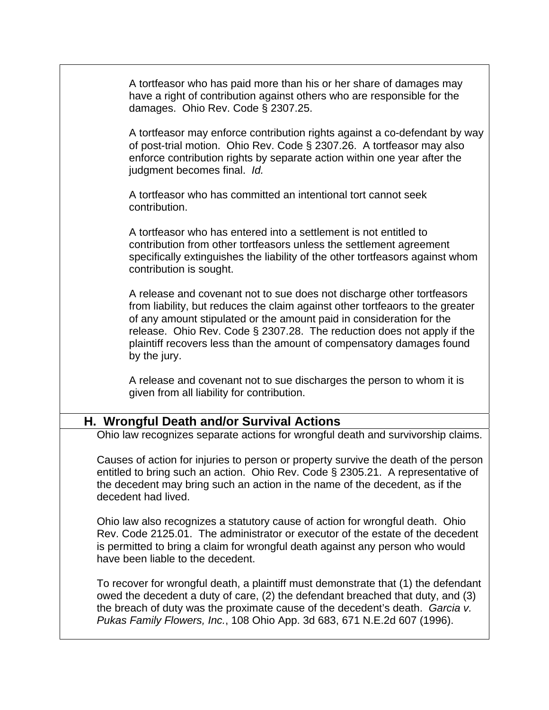A tortfeasor who has paid more than his or her share of damages may have a right of contribution against others who are responsible for the damages. Ohio Rev. Code § 2307.25.

A tortfeasor may enforce contribution rights against a co-defendant by way of post-trial motion. Ohio Rev. Code § 2307.26. A tortfeasor may also enforce contribution rights by separate action within one year after the judgment becomes final. *Id.*

A tortfeasor who has committed an intentional tort cannot seek contribution.

A tortfeasor who has entered into a settlement is not entitled to contribution from other tortfeasors unless the settlement agreement specifically extinguishes the liability of the other tortfeasors against whom contribution is sought.

A release and covenant not to sue does not discharge other tortfeasors from liability, but reduces the claim against other tortfeaors to the greater of any amount stipulated or the amount paid in consideration for the release. Ohio Rev. Code § 2307.28. The reduction does not apply if the plaintiff recovers less than the amount of compensatory damages found by the jury.

A release and covenant not to sue discharges the person to whom it is given from all liability for contribution.

## **H. Wrongful Death and/or Survival Actions**

Ohio law recognizes separate actions for wrongful death and survivorship claims.

Causes of action for injuries to person or property survive the death of the person entitled to bring such an action. Ohio Rev. Code § 2305.21. A representative of the decedent may bring such an action in the name of the decedent, as if the decedent had lived.

Ohio law also recognizes a statutory cause of action for wrongful death. Ohio Rev. Code 2125.01. The administrator or executor of the estate of the decedent is permitted to bring a claim for wrongful death against any person who would have been liable to the decedent.

To recover for wrongful death, a plaintiff must demonstrate that (1) the defendant owed the decedent a duty of care, (2) the defendant breached that duty, and (3) the breach of duty was the proximate cause of the decedent's death. *Garcia v. Pukas Family Flowers, Inc.*, 108 Ohio App. 3d 683, 671 N.E.2d 607 (1996).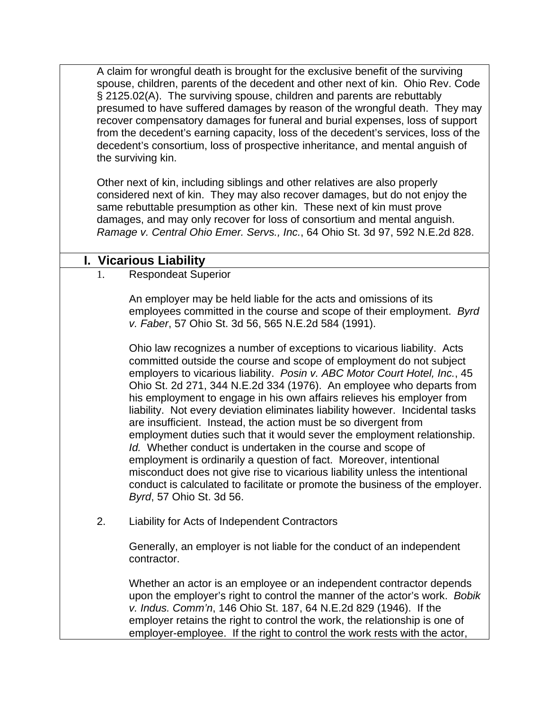A claim for wrongful death is brought for the exclusive benefit of the surviving spouse, children, parents of the decedent and other next of kin. Ohio Rev. Code § 2125.02(A). The surviving spouse, children and parents are rebuttably presumed to have suffered damages by reason of the wrongful death. They may recover compensatory damages for funeral and burial expenses, loss of support from the decedent's earning capacity, loss of the decedent's services, loss of the decedent's consortium, loss of prospective inheritance, and mental anguish of the surviving kin.

Other next of kin, including siblings and other relatives are also properly considered next of kin. They may also recover damages, but do not enjoy the same rebuttable presumption as other kin. These next of kin must prove damages, and may only recover for loss of consortium and mental anguish. *Ramage v. Central Ohio Emer. Servs., Inc.*, 64 Ohio St. 3d 97, 592 N.E.2d 828.

## **I. Vicarious Liability**

1. Respondeat Superior

An employer may be held liable for the acts and omissions of its employees committed in the course and scope of their employment. *Byrd v. Faber*, 57 Ohio St. 3d 56, 565 N.E.2d 584 (1991).

Ohio law recognizes a number of exceptions to vicarious liability. Acts committed outside the course and scope of employment do not subject employers to vicarious liability. *Posin v. ABC Motor Court Hotel, Inc.*, 45 Ohio St. 2d 271, 344 N.E.2d 334 (1976). An employee who departs from his employment to engage in his own affairs relieves his employer from liability. Not every deviation eliminates liability however. Incidental tasks are insufficient. Instead, the action must be so divergent from employment duties such that it would sever the employment relationship. *Id.* Whether conduct is undertaken in the course and scope of employment is ordinarily a question of fact. Moreover, intentional misconduct does not give rise to vicarious liability unless the intentional conduct is calculated to facilitate or promote the business of the employer. *Byrd*, 57 Ohio St. 3d 56.

2. Liability for Acts of Independent Contractors

Generally, an employer is not liable for the conduct of an independent contractor.

Whether an actor is an employee or an independent contractor depends upon the employer's right to control the manner of the actor's work. *Bobik v. Indus. Comm'n*, 146 Ohio St. 187, 64 N.E.2d 829 (1946). If the employer retains the right to control the work, the relationship is one of employer-employee. If the right to control the work rests with the actor,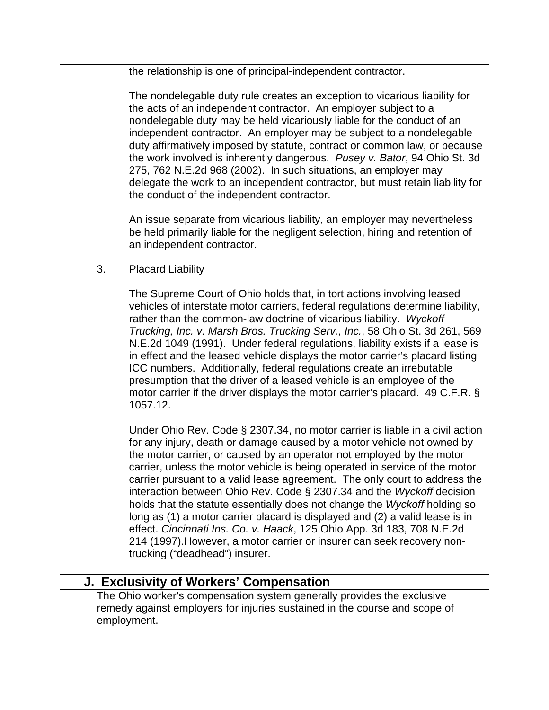the relationship is one of principal-independent contractor.

The nondelegable duty rule creates an exception to vicarious liability for the acts of an independent contractor. An employer subject to a nondelegable duty may be held vicariously liable for the conduct of an independent contractor. An employer may be subject to a nondelegable duty affirmatively imposed by statute, contract or common law, or because the work involved is inherently dangerous. *Pusey v. Bator*, 94 Ohio St. 3d 275, 762 N.E.2d 968 (2002). In such situations, an employer may delegate the work to an independent contractor, but must retain liability for the conduct of the independent contractor.

An issue separate from vicarious liability, an employer may nevertheless be held primarily liable for the negligent selection, hiring and retention of an independent contractor.

3. Placard Liability

The Supreme Court of Ohio holds that, in tort actions involving leased vehicles of interstate motor carriers, federal regulations determine liability, rather than the common-law doctrine of vicarious liability. *Wyckoff Trucking, Inc. v. Marsh Bros. Trucking Serv., Inc.*, 58 Ohio St. 3d 261, 569 N.E.2d 1049 (1991). Under federal regulations, liability exists if a lease is in effect and the leased vehicle displays the motor carrier's placard listing ICC numbers. Additionally, federal regulations create an irrebutable presumption that the driver of a leased vehicle is an employee of the motor carrier if the driver displays the motor carrier's placard. 49 C.F.R. § 1057.12.

Under Ohio Rev. Code § 2307.34, no motor carrier is liable in a civil action for any injury, death or damage caused by a motor vehicle not owned by the motor carrier, or caused by an operator not employed by the motor carrier, unless the motor vehicle is being operated in service of the motor carrier pursuant to a valid lease agreement. The only court to address the interaction between Ohio Rev. Code § 2307.34 and the *Wyckoff* decision holds that the statute essentially does not change the *Wyckoff* holding so long as (1) a motor carrier placard is displayed and (2) a valid lease is in effect. *Cincinnati Ins. Co. v. Haack*, 125 Ohio App. 3d 183, 708 N.E.2d 214 (1997).However, a motor carrier or insurer can seek recovery nontrucking ("deadhead") insurer.

# **J. Exclusivity of Workers' Compensation**

The Ohio worker's compensation system generally provides the exclusive remedy against employers for injuries sustained in the course and scope of employment.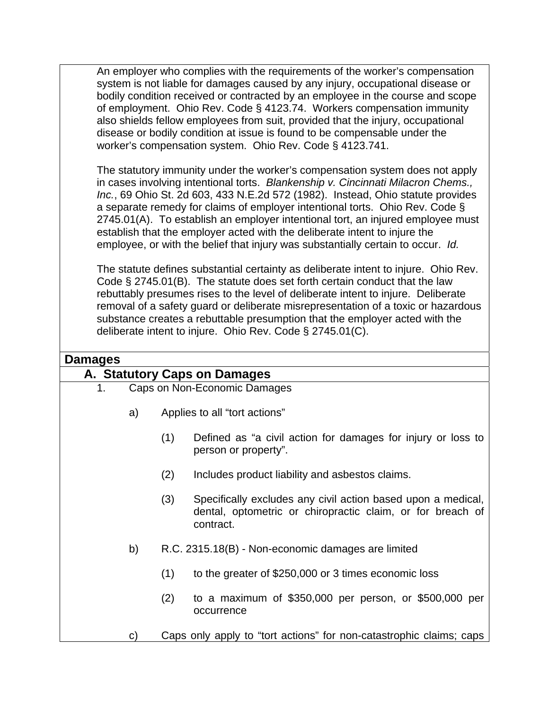An employer who complies with the requirements of the worker's compensation system is not liable for damages caused by any injury, occupational disease or bodily condition received or contracted by an employee in the course and scope of employment. Ohio Rev. Code § 4123.74. Workers compensation immunity also shields fellow employees from suit, provided that the injury, occupational disease or bodily condition at issue is found to be compensable under the worker's compensation system. Ohio Rev. Code § 4123.741.

The statutory immunity under the worker's compensation system does not apply in cases involving intentional torts. *Blankenship v. Cincinnati Milacron Chems., Inc.*, 69 Ohio St. 2d 603, 433 N.E.2d 572 (1982). Instead, Ohio statute provides a separate remedy for claims of employer intentional torts. Ohio Rev. Code § 2745.01(A). To establish an employer intentional tort, an injured employee must establish that the employer acted with the deliberate intent to injure the employee, or with the belief that injury was substantially certain to occur. *Id.*

The statute defines substantial certainty as deliberate intent to injure. Ohio Rev. Code § 2745.01(B). The statute does set forth certain conduct that the law rebuttably presumes rises to the level of deliberate intent to injure. Deliberate removal of a safety guard or deliberate misrepresentation of a toxic or hazardous substance creates a rebuttable presumption that the employer acted with the deliberate intent to injure. Ohio Rev. Code § 2745.01(C).

### **Damages**

| <u></u>                      |     |                                                                                                                                         |  |
|------------------------------|-----|-----------------------------------------------------------------------------------------------------------------------------------------|--|
| A. Statutory Caps on Damages |     |                                                                                                                                         |  |
| 1.                           |     | Caps on Non-Economic Damages                                                                                                            |  |
| a)                           |     | Applies to all "tort actions"                                                                                                           |  |
|                              | (1) | Defined as "a civil action for damages for injury or loss to<br>person or property".                                                    |  |
|                              | (2) | Includes product liability and asbestos claims.                                                                                         |  |
|                              | (3) | Specifically excludes any civil action based upon a medical,<br>dental, optometric or chiropractic claim, or for breach of<br>contract. |  |
| b)                           |     | R.C. 2315.18(B) - Non-economic damages are limited                                                                                      |  |
|                              | (1) | to the greater of \$250,000 or 3 times economic loss                                                                                    |  |
|                              | (2) | to a maximum of $$350,000$ per person, or $$500,000$ per<br>occurrence                                                                  |  |
| C)                           |     | Caps only apply to "tort actions" for non-catastrophic claims; caps                                                                     |  |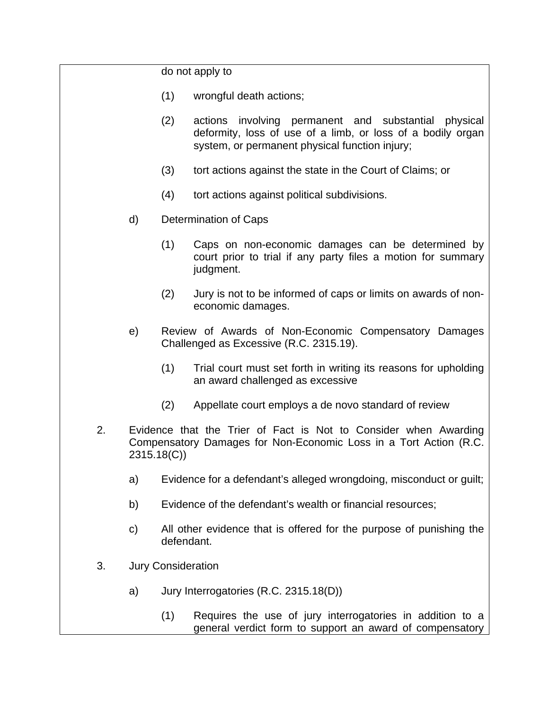do not apply to

- (1) wrongful death actions;
- (2) actions involving permanent and substantial physical deformity, loss of use of a limb, or loss of a bodily organ system, or permanent physical function injury;
- (3) tort actions against the state in the Court of Claims; or
- (4) tort actions against political subdivisions.
- d) Determination of Caps
	- (1) Caps on non-economic damages can be determined by court prior to trial if any party files a motion for summary judgment.
	- (2) Jury is not to be informed of caps or limits on awards of noneconomic damages.
- e) Review of Awards of Non-Economic Compensatory Damages Challenged as Excessive (R.C. 2315.19).
	- (1) Trial court must set forth in writing its reasons for upholding an award challenged as excessive
	- (2) Appellate court employs a de novo standard of review
- 2. Evidence that the Trier of Fact is Not to Consider when Awarding Compensatory Damages for Non-Economic Loss in a Tort Action (R.C. 2315.18(C))
	- a) Evidence for a defendant's alleged wrongdoing, misconduct or guilt;
	- b) Evidence of the defendant's wealth or financial resources;
	- c) All other evidence that is offered for the purpose of punishing the defendant.
- 3. Jury Consideration
	- a) Jury Interrogatories (R.C. 2315.18(D))
		- (1) Requires the use of jury interrogatories in addition to a general verdict form to support an award of compensatory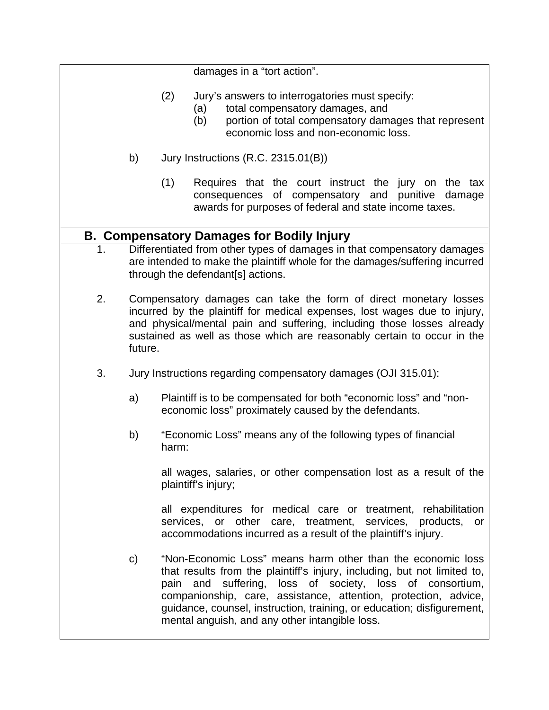damages in a "tort action". (2) Jury's answers to interrogatories must specify: (a) total compensatory damages, and (b) portion of total compensatory damages that represent economic loss and non-economic loss. b) Jury Instructions (R.C. 2315.01(B)) (1) Requires that the court instruct the jury on the tax consequences of compensatory and punitive damage awards for purposes of federal and state income taxes. **B. Compensatory Damages for Bodily Injury**  1. Differentiated from other types of damages in that compensatory damages are intended to make the plaintiff whole for the damages/suffering incurred through the defendant[s] actions. 2. Compensatory damages can take the form of direct monetary losses incurred by the plaintiff for medical expenses, lost wages due to injury, and physical/mental pain and suffering, including those losses already sustained as well as those which are reasonably certain to occur in the future. 3. Jury Instructions regarding compensatory damages (OJI 315.01): a) Plaintiff is to be compensated for both "economic loss" and "noneconomic loss" proximately caused by the defendants. b) "Economic Loss" means any of the following types of financial harm: all wages, salaries, or other compensation lost as a result of the plaintiff's injury; all expenditures for medical care or treatment, rehabilitation services, or other care, treatment, services, products, or accommodations incurred as a result of the plaintiff's injury. c) "Non-Economic Loss" means harm other than the economic loss that results from the plaintiff's injury, including, but not limited to, pain and suffering, loss of society, loss of consortium, companionship, care, assistance, attention, protection, advice, guidance, counsel, instruction, training, or education; disfigurement, mental anguish, and any other intangible loss.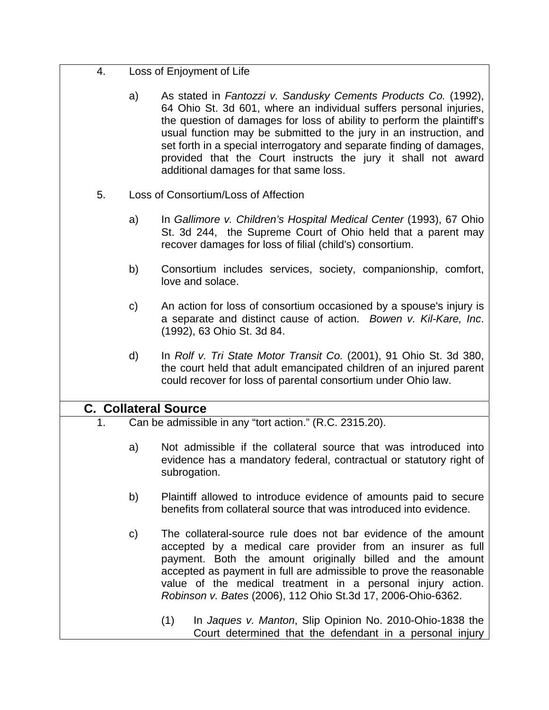| Loss of Enjoyment of Life |  |
|---------------------------|--|
|---------------------------|--|

a) As stated in *Fantozzi v. Sandusky Cements Products Co.* (1992), 64 Ohio St. 3d 601, where an individual suffers personal injuries, the question of damages for loss of ability to perform the plaintiff's usual function may be submitted to the jury in an instruction, and set forth in a special interrogatory and separate finding of damages, provided that the Court instructs the jury it shall not award additional damages for that same loss.

- 5. Loss of Consortium/Loss of Affection
	- a) In *Gallimore v. Children's Hospital Medical Center* (1993), 67 Ohio St. 3d 244, the Supreme Court of Ohio held that a parent may recover damages for loss of filial (child's) consortium.
	- b) Consortium includes services, society, companionship, comfort, love and solace.
	- c) An action for loss of consortium occasioned by a spouse's injury is a separate and distinct cause of action. *Bowen v. Kil-Kare, Inc*. (1992), 63 Ohio St. 3d 84.
	- d) In *Rolf v. Tri State Motor Transit Co.* (2001), 91 Ohio St. 3d 380, the court held that adult emancipated children of an injured parent could recover for loss of parental consortium under Ohio law.

### **C. Collateral Source**

- 1. Can be admissible in any "tort action." (R.C. 2315.20).
	- a) Not admissible if the collateral source that was introduced into evidence has a mandatory federal, contractual or statutory right of subrogation.
	- b) Plaintiff allowed to introduce evidence of amounts paid to secure benefits from collateral source that was introduced into evidence.
	- c) The collateral-source rule does not bar evidence of the amount accepted by a medical care provider from an insurer as full payment. Both the amount originally billed and the amount accepted as payment in full are admissible to prove the reasonable value of the medical treatment in a personal injury action. *Robinson v. Bates* (2006), 112 Ohio St.3d 17, 2006-Ohio-6362.
		- (1) In *Jaques v. Manton*, Slip Opinion No. 2010-Ohio-1838 the Court determined that the defendant in a personal injury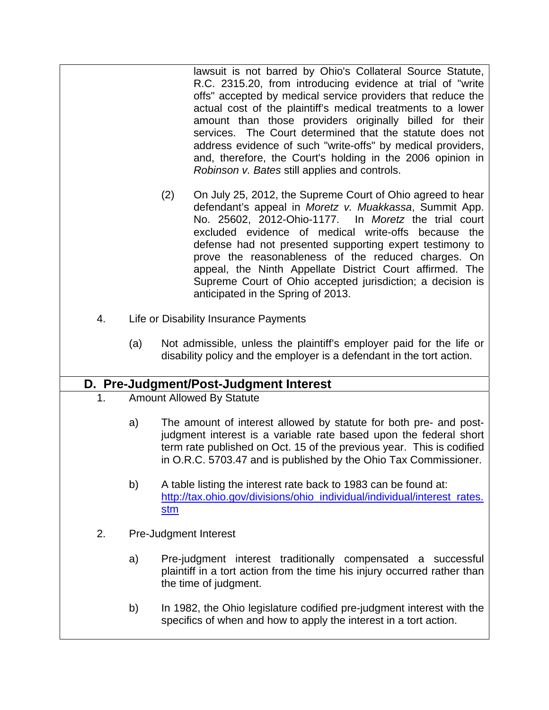lawsuit is not barred by Ohio's Collateral Source Statute, R.C. 2315.20, from introducing evidence at trial of "write offs" accepted by medical service providers that reduce the actual cost of the plaintiff's medical treatments to a lower amount than those providers originally billed for their services. The Court determined that the statute does not address evidence of such "write-offs" by medical providers, and, therefore, the Court's holding in the 2006 opinion in *Robinson v. Bates* still applies and controls.

- (2) On July 25, 2012, the Supreme Court of Ohio agreed to hear defendant's appeal in *Moretz v. Muakkassa*, Summit App. No. 25602, 2012-Ohio-1177. In *Moretz* the trial court excluded evidence of medical write-offs because the defense had not presented supporting expert testimony to prove the reasonableness of the reduced charges. On appeal, the Ninth Appellate District Court affirmed. The Supreme Court of Ohio accepted jurisdiction; a decision is anticipated in the Spring of 2013.
- 4. Life or Disability Insurance Payments
	- (a) Not admissible, unless the plaintiff's employer paid for the life or disability policy and the employer is a defendant in the tort action.

## **D. Pre-Judgment/Post-Judgment Interest**

- 1. Amount Allowed By Statute
	- a) The amount of interest allowed by statute for both pre- and postjudgment interest is a variable rate based upon the federal short term rate published on Oct. 15 of the previous year. This is codified in O.R.C. 5703.47 and is published by the Ohio Tax Commissioner.
	- b) A table listing the interest rate back to 1983 can be found at: http://tax.ohio.gov/divisions/ohio\_individual/individual/interest\_rates. stm
- 2. Pre-Judgment Interest
	- a) Pre-judgment interest traditionally compensated a successful plaintiff in a tort action from the time his injury occurred rather than the time of judgment.
	- b) In 1982, the Ohio legislature codified pre-judgment interest with the specifics of when and how to apply the interest in a tort action.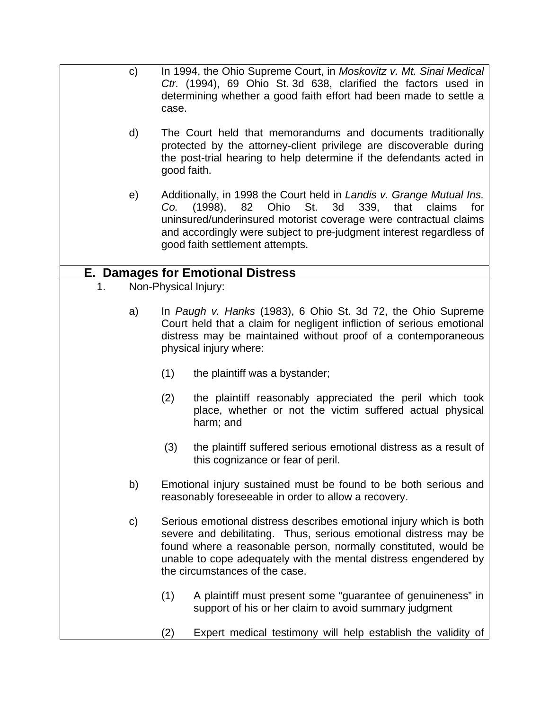| $\mathbf{C}$  | case.                | In 1994, the Ohio Supreme Court, in Moskovitz v. Mt. Sinai Medical<br>Ctr. (1994), 69 Ohio St. 3d 638, clarified the factors used in<br>determining whether a good faith effort had been made to settle a                                                                                                           |
|---------------|----------------------|---------------------------------------------------------------------------------------------------------------------------------------------------------------------------------------------------------------------------------------------------------------------------------------------------------------------|
| d)            | good faith.          | The Court held that memorandums and documents traditionally<br>protected by the attorney-client privilege are discoverable during<br>the post-trial hearing to help determine if the defendants acted in                                                                                                            |
| e)            | Co.                  | Additionally, in 1998 the Court held in Landis v. Grange Mutual Ins.<br>Ohio St.<br>(1998),<br>82<br>3d 339,<br>that<br>claims<br>for<br>uninsured/underinsured motorist coverage were contractual claims<br>and accordingly were subject to pre-judgment interest regardless of<br>good faith settlement attempts. |
|               |                      | <b>E. Damages for Emotional Distress</b>                                                                                                                                                                                                                                                                            |
| 1.            | Non-Physical Injury: |                                                                                                                                                                                                                                                                                                                     |
| a)            |                      | In Paugh v. Hanks (1983), 6 Ohio St. 3d 72, the Ohio Supreme<br>Court held that a claim for negligent infliction of serious emotional<br>distress may be maintained without proof of a contemporaneous<br>physical injury where:                                                                                    |
|               | (1)                  | the plaintiff was a bystander;                                                                                                                                                                                                                                                                                      |
|               | (2)                  | the plaintiff reasonably appreciated the peril which took<br>place, whether or not the victim suffered actual physical<br>harm; and                                                                                                                                                                                 |
|               | (3)                  | the plaintiff suffered serious emotional distress as a result of<br>this cognizance or fear of peril.                                                                                                                                                                                                               |
| b)            |                      | Emotional injury sustained must be found to be both serious and<br>reasonably foreseeable in order to allow a recovery.                                                                                                                                                                                             |
| $\mathbf{c})$ |                      | Serious emotional distress describes emotional injury which is both<br>severe and debilitating. Thus, serious emotional distress may be<br>found where a reasonable person, normally constituted, would be<br>unable to cope adequately with the mental distress engendered by<br>the circumstances of the case.    |
|               | (1)                  | A plaintiff must present some "guarantee of genuineness" in<br>support of his or her claim to avoid summary judgment                                                                                                                                                                                                |
|               | (2)                  | Expert medical testimony will help establish the validity of                                                                                                                                                                                                                                                        |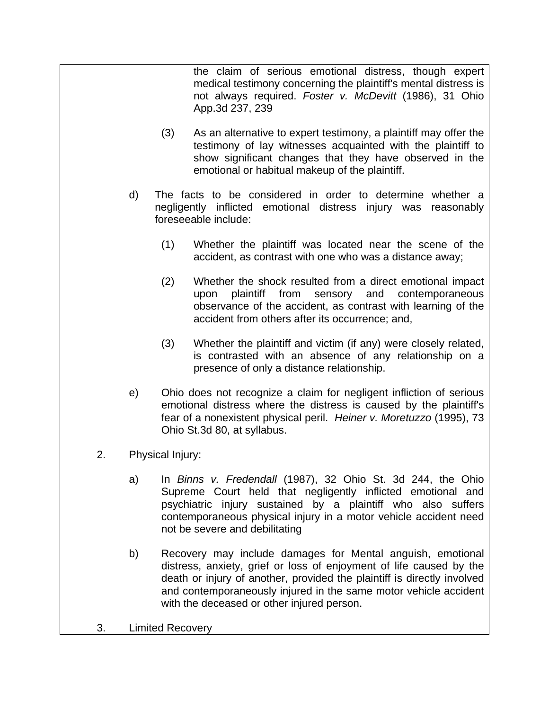the claim of serious emotional distress, though expert medical testimony concerning the plaintiff's mental distress is not always required. *Foster v. McDevitt* (1986), 31 Ohio App.3d 237, 239

- (3) As an alternative to expert testimony, a plaintiff may offer the testimony of lay witnesses acquainted with the plaintiff to show significant changes that they have observed in the emotional or habitual makeup of the plaintiff.
- d) The facts to be considered in order to determine whether a negligently inflicted emotional distress injury was reasonably foreseeable include:
	- (1) Whether the plaintiff was located near the scene of the accident, as contrast with one who was a distance away;
	- (2) Whether the shock resulted from a direct emotional impact upon plaintiff from sensory and contemporaneous observance of the accident, as contrast with learning of the accident from others after its occurrence; and,
	- (3) Whether the plaintiff and victim (if any) were closely related, is contrasted with an absence of any relationship on a presence of only a distance relationship.
- e) Ohio does not recognize a claim for negligent infliction of serious emotional distress where the distress is caused by the plaintiff's fear of a nonexistent physical peril. *Heiner v. Moretuzzo* (1995), 73 Ohio St.3d 80, at syllabus.
- 2. Physical Injury:
	- a) In *Binns v. Fredendall* (1987), 32 Ohio St. 3d 244, the Ohio Supreme Court held that negligently inflicted emotional and psychiatric injury sustained by a plaintiff who also suffers contemporaneous physical injury in a motor vehicle accident need not be severe and debilitating
	- b) Recovery may include damages for Mental anguish, emotional distress, anxiety, grief or loss of enjoyment of life caused by the death or injury of another, provided the plaintiff is directly involved and contemporaneously injured in the same motor vehicle accident with the deceased or other injured person.
- 3. Limited Recovery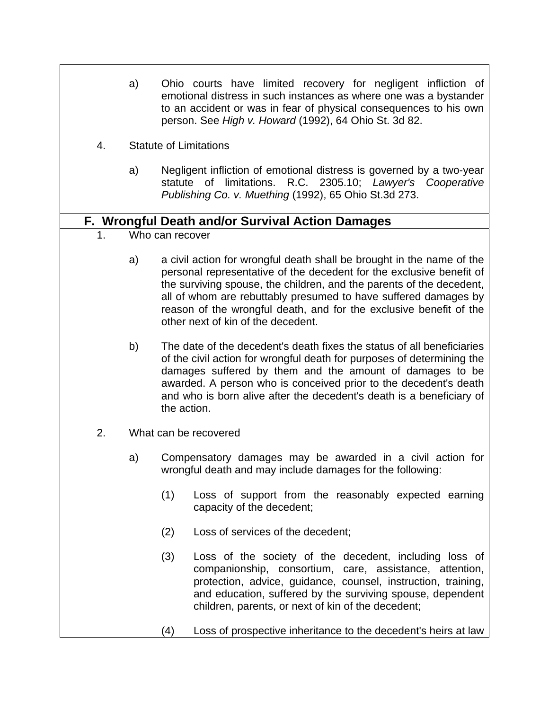- a) Ohio courts have limited recovery for negligent infliction of emotional distress in such instances as where one was a bystander to an accident or was in fear of physical consequences to his own person. See *High v. Howard* (1992), 64 Ohio St. 3d 82.
- 4. Statute of Limitations
	- a) Negligent infliction of emotional distress is governed by a two-year statute of limitations. R.C. 2305.10; *Lawyer's Cooperative Publishing Co. v. Muething* (1992), 65 Ohio St.3d 273.

### **F. Wrongful Death and/or Survival Action Damages**

- 1. Who can recover
	- a) a civil action for wrongful death shall be brought in the name of the personal representative of the decedent for the exclusive benefit of the surviving spouse, the children, and the parents of the decedent, all of whom are rebuttably presumed to have suffered damages by reason of the wrongful death, and for the exclusive benefit of the other next of kin of the decedent.
	- b) The date of the decedent's death fixes the status of all beneficiaries of the civil action for wrongful death for purposes of determining the damages suffered by them and the amount of damages to be awarded. A person who is conceived prior to the decedent's death and who is born alive after the decedent's death is a beneficiary of the action.
- 2. What can be recovered
	- a) Compensatory damages may be awarded in a civil action for wrongful death and may include damages for the following:
		- (1) Loss of support from the reasonably expected earning capacity of the decedent;
		- (2) Loss of services of the decedent;
		- (3) Loss of the society of the decedent, including loss of companionship, consortium, care, assistance, attention, protection, advice, guidance, counsel, instruction, training, and education, suffered by the surviving spouse, dependent children, parents, or next of kin of the decedent;
		- (4) Loss of prospective inheritance to the decedent's heirs at law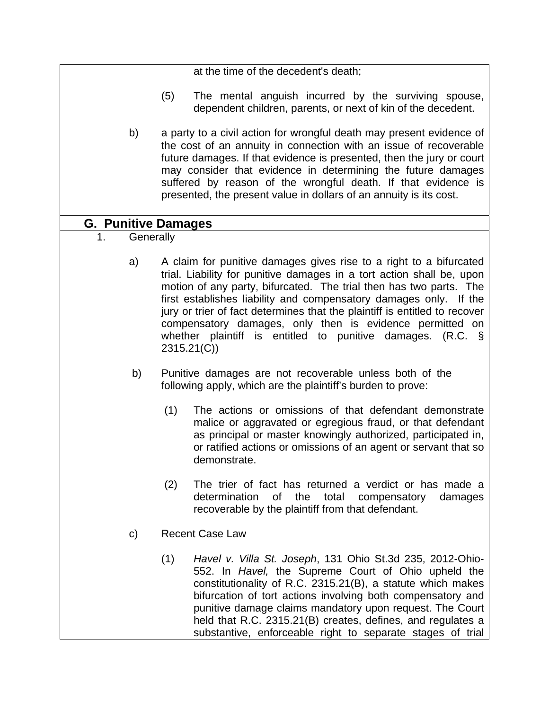at the time of the decedent's death;

- (5) The mental anguish incurred by the surviving spouse, dependent children, parents, or next of kin of the decedent.
- b) a party to a civil action for wrongful death may present evidence of the cost of an annuity in connection with an issue of recoverable future damages. If that evidence is presented, then the jury or court may consider that evidence in determining the future damages suffered by reason of the wrongful death. If that evidence is presented, the present value in dollars of an annuity is its cost.

## **G. Punitive Damages**

- 1. Generally
	- a) A claim for punitive damages gives rise to a right to a bifurcated trial. Liability for punitive damages in a tort action shall be, upon motion of any party, bifurcated. The trial then has two parts. The first establishes liability and compensatory damages only. If the jury or trier of fact determines that the plaintiff is entitled to recover compensatory damages, only then is evidence permitted on whether plaintiff is entitled to punitive damages. (R.C. § 2315.21(C))
	- b) Punitive damages are not recoverable unless both of the following apply, which are the plaintiff's burden to prove:
		- (1) The actions or omissions of that defendant demonstrate malice or aggravated or egregious fraud, or that defendant as principal or master knowingly authorized, participated in, or ratified actions or omissions of an agent or servant that so demonstrate.
		- (2) The trier of fact has returned a verdict or has made a determination of the total compensatory damages recoverable by the plaintiff from that defendant.
	- c) Recent Case Law
		- (1) *Havel v. Villa St. Joseph*, 131 Ohio St.3d 235, 2012-Ohio-552. In *Havel,* the Supreme Court of Ohio upheld the constitutionality of R.C. 2315.21(B), a statute which makes bifurcation of tort actions involving both compensatory and punitive damage claims mandatory upon request. The Court held that R.C. 2315.21(B) creates, defines, and regulates a substantive, enforceable right to separate stages of trial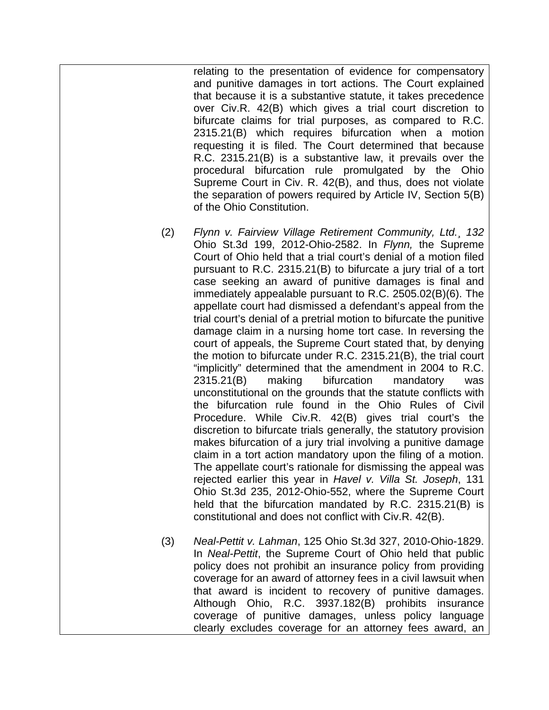relating to the presentation of evidence for compensatory and punitive damages in tort actions. The Court explained that because it is a substantive statute, it takes precedence over Civ.R. 42(B) which gives a trial court discretion to bifurcate claims for trial purposes, as compared to R.C. 2315.21(B) which requires bifurcation when a motion requesting it is filed. The Court determined that because R.C. 2315.21(B) is a substantive law, it prevails over the procedural bifurcation rule promulgated by the Ohio Supreme Court in Civ. R. 42(B), and thus, does not violate the separation of powers required by Article IV, Section 5(B) of the Ohio Constitution.

- (2) *Flynn v. Fairview Village Retirement Community, Ltd.¸ 132*  Ohio St.3d 199, 2012-Ohio-2582. In *Flynn,* the Supreme Court of Ohio held that a trial court's denial of a motion filed pursuant to R.C. 2315.21(B) to bifurcate a jury trial of a tort case seeking an award of punitive damages is final and immediately appealable pursuant to R.C. 2505.02(B)(6). The appellate court had dismissed a defendant's appeal from the trial court's denial of a pretrial motion to bifurcate the punitive damage claim in a nursing home tort case. In reversing the court of appeals, the Supreme Court stated that, by denying the motion to bifurcate under R.C. 2315.21(B), the trial court "implicitly" determined that the amendment in 2004 to R.C. 2315.21(B) making bifurcation mandatory was unconstitutional on the grounds that the statute conflicts with the bifurcation rule found in the Ohio Rules of Civil Procedure. While Civ.R. 42(B) gives trial court's the discretion to bifurcate trials generally, the statutory provision makes bifurcation of a jury trial involving a punitive damage claim in a tort action mandatory upon the filing of a motion. The appellate court's rationale for dismissing the appeal was rejected earlier this year in *Havel v. Villa St. Joseph*, 131 Ohio St.3d 235, 2012-Ohio-552, where the Supreme Court held that the bifurcation mandated by R.C. 2315.21(B) is constitutional and does not conflict with Civ.R. 42(B).
- (3) *Neal-Pettit v. Lahman*, 125 Ohio St.3d 327, 2010-Ohio-1829. In *Neal-Pettit*, the Supreme Court of Ohio held that public policy does not prohibit an insurance policy from providing coverage for an award of attorney fees in a civil lawsuit when that award is incident to recovery of punitive damages. Although Ohio, R.C. 3937.182(B) prohibits insurance coverage of punitive damages, unless policy language clearly excludes coverage for an attorney fees award, an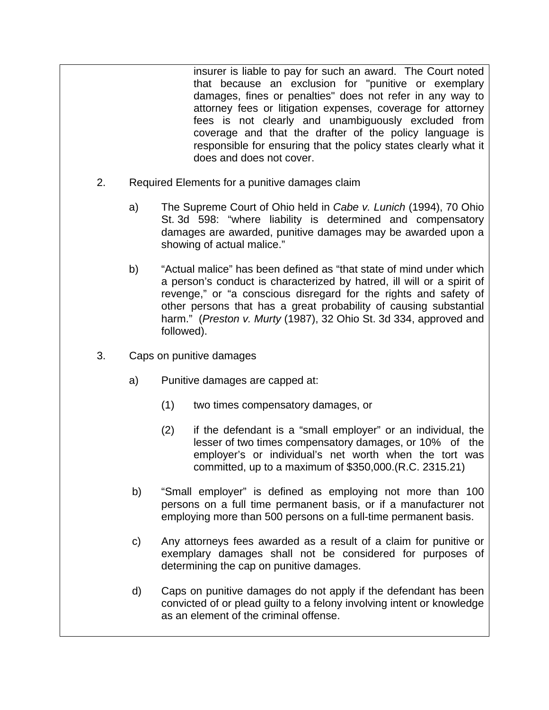insurer is liable to pay for such an award. The Court noted that because an exclusion for "punitive or exemplary damages, fines or penalties" does not refer in any way to attorney fees or litigation expenses, coverage for attorney fees is not clearly and unambiguously excluded from coverage and that the drafter of the policy language is responsible for ensuring that the policy states clearly what it does and does not cover.

- 2. Required Elements for a punitive damages claim
	- a) The Supreme Court of Ohio held in *Cabe v. Lunich* (1994), 70 Ohio St. 3d 598: "where liability is determined and compensatory damages are awarded, punitive damages may be awarded upon a showing of actual malice."
	- b) "Actual malice" has been defined as "that state of mind under which a person's conduct is characterized by hatred, ill will or a spirit of revenge," or "a conscious disregard for the rights and safety of other persons that has a great probability of causing substantial harm." (*Preston v. Murty* (1987), 32 Ohio St. 3d 334, approved and followed).
- 3. Caps on punitive damages
	- a) Punitive damages are capped at:
		- (1) two times compensatory damages, or
		- (2) if the defendant is a "small employer" or an individual, the lesser of two times compensatory damages, or 10% of the employer's or individual's net worth when the tort was committed, up to a maximum of \$350,000.(R.C. 2315.21)
	- b) "Small employer" is defined as employing not more than 100 persons on a full time permanent basis, or if a manufacturer not employing more than 500 persons on a full-time permanent basis.
	- c) Any attorneys fees awarded as a result of a claim for punitive or exemplary damages shall not be considered for purposes of determining the cap on punitive damages.
	- d) Caps on punitive damages do not apply if the defendant has been convicted of or plead guilty to a felony involving intent or knowledge as an element of the criminal offense.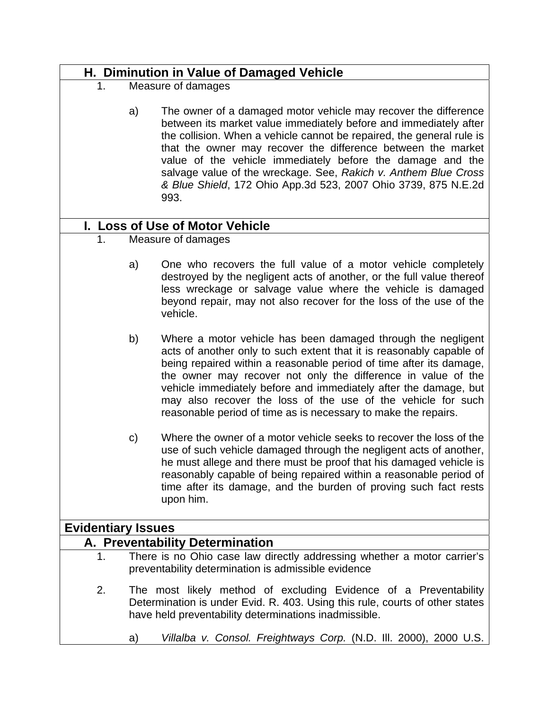# **H. Diminution in Value of Damaged Vehicle**

- 1. Measure of damages
	- a) The owner of a damaged motor vehicle may recover the difference between its market value immediately before and immediately after the collision. When a vehicle cannot be repaired, the general rule is that the owner may recover the difference between the market value of the vehicle immediately before the damage and the salvage value of the wreckage. See, *Rakich v. Anthem Blue Cross & Blue Shield*, 172 Ohio App.3d 523, 2007 Ohio 3739, 875 N.E.2d 993.

# **I. Loss of Use of Motor Vehicle**

- 1. Measure of damages
	- a) One who recovers the full value of a motor vehicle completely destroyed by the negligent acts of another, or the full value thereof less wreckage or salvage value where the vehicle is damaged beyond repair, may not also recover for the loss of the use of the vehicle.
	- b) Where a motor vehicle has been damaged through the negligent acts of another only to such extent that it is reasonably capable of being repaired within a reasonable period of time after its damage, the owner may recover not only the difference in value of the vehicle immediately before and immediately after the damage, but may also recover the loss of the use of the vehicle for such reasonable period of time as is necessary to make the repairs.
	- c) Where the owner of a motor vehicle seeks to recover the loss of the use of such vehicle damaged through the negligent acts of another, he must allege and there must be proof that his damaged vehicle is reasonably capable of being repaired within a reasonable period of time after its damage, and the burden of proving such fact rests upon him.

# **Evidentiary Issues**

## **A. Preventability Determination**

- 1. There is no Ohio case law directly addressing whether a motor carrier's preventability determination is admissible evidence
- 2. The most likely method of excluding Evidence of a Preventability Determination is under Evid. R. 403. Using this rule, courts of other states have held preventability determinations inadmissible.
	- a) *Villalba v. Consol. Freightways Corp.* (N.D. Ill. 2000), 2000 U.S.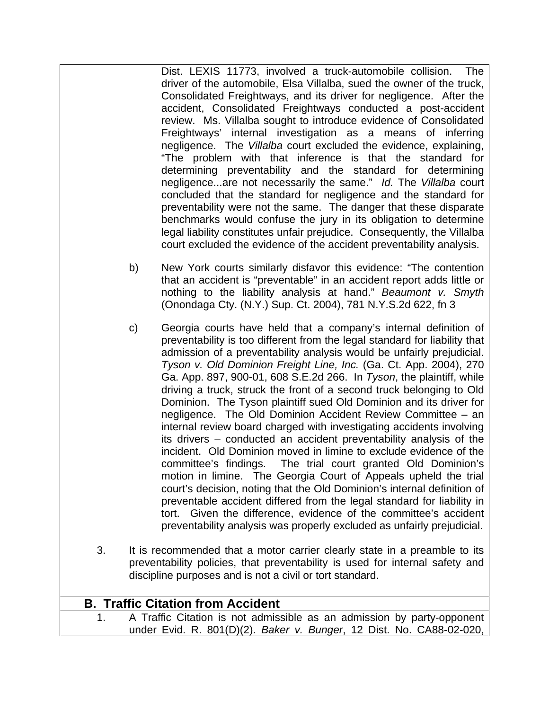Dist. LEXIS 11773, involved a truck-automobile collision. The driver of the automobile, Elsa Villalba, sued the owner of the truck, Consolidated Freightways, and its driver for negligence. After the accident, Consolidated Freightways conducted a post-accident review. Ms. Villalba sought to introduce evidence of Consolidated Freightways' internal investigation as a means of inferring negligence. The *Villalba* court excluded the evidence, explaining, "The problem with that inference is that the standard for determining preventability and the standard for determining negligence...are not necessarily the same." *Id.* The *Villalba* court concluded that the standard for negligence and the standard for preventability were not the same. The danger that these disparate benchmarks would confuse the jury in its obligation to determine legal liability constitutes unfair prejudice. Consequently, the Villalba court excluded the evidence of the accident preventability analysis.

- b) New York courts similarly disfavor this evidence: "The contention that an accident is "preventable" in an accident report adds little or nothing to the liability analysis at hand." *Beaumont v. Smyth* (Onondaga Cty. (N.Y.) Sup. Ct. 2004), 781 N.Y.S.2d 622, fn 3
- c) Georgia courts have held that a company's internal definition of preventability is too different from the legal standard for liability that admission of a preventability analysis would be unfairly prejudicial. *Tyson v. Old Dominion Freight Line, Inc.* (Ga. Ct. App. 2004), 270 Ga. App. 897, 900-01, 608 S.E.2d 266. In *Tyson*, the plaintiff, while driving a truck, struck the front of a second truck belonging to Old Dominion. The Tyson plaintiff sued Old Dominion and its driver for negligence. The Old Dominion Accident Review Committee – an internal review board charged with investigating accidents involving its drivers – conducted an accident preventability analysis of the incident. Old Dominion moved in limine to exclude evidence of the committee's findings. The trial court granted Old Dominion's motion in limine. The Georgia Court of Appeals upheld the trial court's decision, noting that the Old Dominion's internal definition of preventable accident differed from the legal standard for liability in tort. Given the difference, evidence of the committee's accident preventability analysis was properly excluded as unfairly prejudicial.
- 3. It is recommended that a motor carrier clearly state in a preamble to its preventability policies, that preventability is used for internal safety and discipline purposes and is not a civil or tort standard.

| <b>B. Traffic Citation from Accident</b> |                                                                        |  |
|------------------------------------------|------------------------------------------------------------------------|--|
|                                          | A Traffic Citation is not admissible as an admission by party-opponent |  |
|                                          | under Evid. R. 801(D)(2). Baker v. Bunger, 12 Dist. No. CA88-02-020,   |  |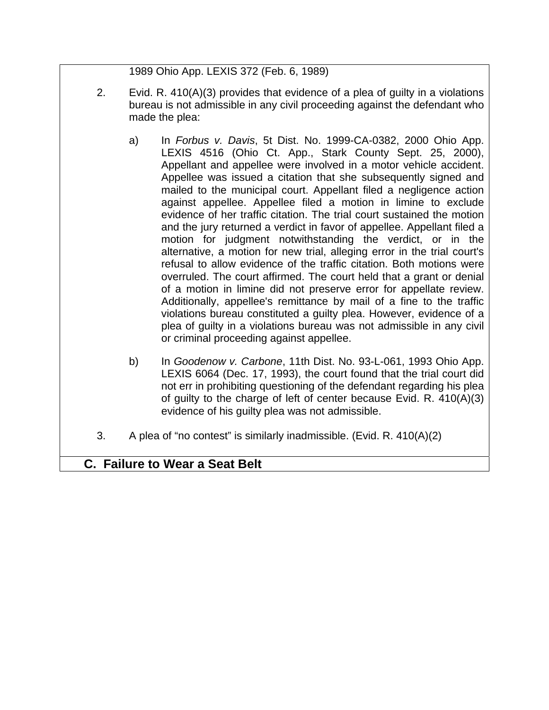1989 Ohio App. LEXIS 372 (Feb. 6, 1989)

- 2. Evid. R. 410(A)(3) provides that evidence of a plea of guilty in a violations bureau is not admissible in any civil proceeding against the defendant who made the plea:
	- a) In *Forbus v. Davis*, 5t Dist. No. 1999-CA-0382, 2000 Ohio App. LEXIS 4516 (Ohio Ct. App., Stark County Sept. 25, 2000), Appellant and appellee were involved in a motor vehicle accident. Appellee was issued a citation that she subsequently signed and mailed to the municipal court. Appellant filed a negligence action against appellee. Appellee filed a motion in limine to exclude evidence of her traffic citation. The trial court sustained the motion and the jury returned a verdict in favor of appellee. Appellant filed a motion for judgment notwithstanding the verdict, or in the alternative, a motion for new trial, alleging error in the trial court's refusal to allow evidence of the traffic citation. Both motions were overruled. The court affirmed. The court held that a grant or denial of a motion in limine did not preserve error for appellate review. Additionally, appellee's remittance by mail of a fine to the traffic violations bureau constituted a guilty plea. However, evidence of a plea of guilty in a violations bureau was not admissible in any civil or criminal proceeding against appellee.
	- b) In *Goodenow v. Carbone*, 11th Dist. No. 93-L-061, 1993 Ohio App. LEXIS 6064 (Dec. 17, 1993), the court found that the trial court did not err in prohibiting questioning of the defendant regarding his plea of guilty to the charge of left of center because Evid. R. 410(A)(3) evidence of his guilty plea was not admissible.
- 3. A plea of "no contest" is similarly inadmissible. (Evid. R.  $410(A)(2)$ )

# **C. Failure to Wear a Seat Belt**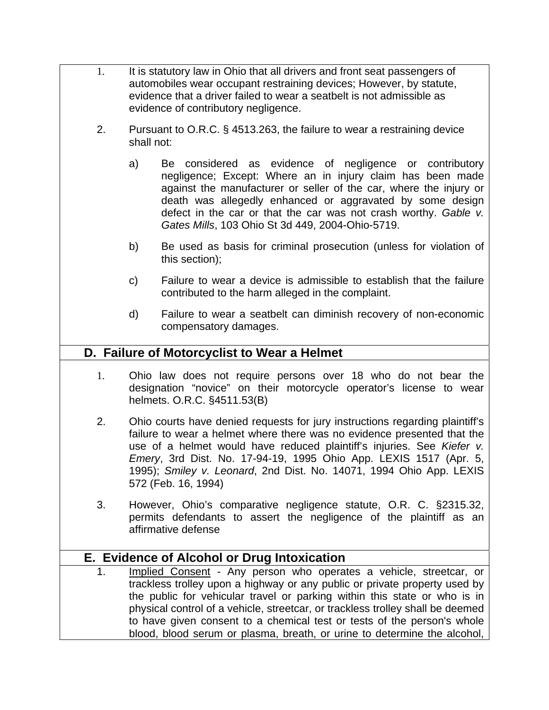- 1. It is statutory law in Ohio that all drivers and front seat passengers of automobiles wear occupant restraining devices; However, by statute, evidence that a driver failed to wear a seatbelt is not admissible as evidence of contributory negligence.
	- 2. Pursuant to O.R.C. § 4513.263, the failure to wear a restraining device shall not:
		- a) Be considered as evidence of negligence or contributory negligence; Except: Where an in injury claim has been made against the manufacturer or seller of the car, where the injury or death was allegedly enhanced or aggravated by some design defect in the car or that the car was not crash worthy. *Gable v. Gates Mills*, 103 Ohio St 3d 449, 2004-Ohio-5719.
		- b) Be used as basis for criminal prosecution (unless for violation of this section);
		- c) Failure to wear a device is admissible to establish that the failure contributed to the harm alleged in the complaint.
		- d) Failure to wear a seatbelt can diminish recovery of non-economic compensatory damages.

## **D. Failure of Motorcyclist to Wear a Helmet**

- 1. Ohio law does not require persons over 18 who do not bear the designation "novice" on their motorcycle operator's license to wear helmets. O.R.C. §4511.53(B)
- 2. Ohio courts have denied requests for jury instructions regarding plaintiff's failure to wear a helmet where there was no evidence presented that the use of a helmet would have reduced plaintiff's injuries. See *Kiefer v. Emery*, 3rd Dist. No. 17-94-19, 1995 Ohio App. LEXIS 1517 (Apr. 5, 1995); *Smiley v. Leonard*, 2nd Dist. No. 14071, 1994 Ohio App. LEXIS 572 (Feb. 16, 1994)
- 3. However, Ohio's comparative negligence statute, O.R. C. §2315.32, permits defendants to assert the negligence of the plaintiff as an affirmative defense

## **E. Evidence of Alcohol or Drug Intoxication**

1. Implied Consent - Any person who operates a vehicle, streetcar, or trackless trolley upon a highway or any public or private property used by the public for vehicular travel or parking within this state or who is in physical control of a vehicle, streetcar, or trackless trolley shall be deemed to have given consent to a chemical test or tests of the person's whole blood, blood serum or plasma, breath, or urine to determine the alcohol,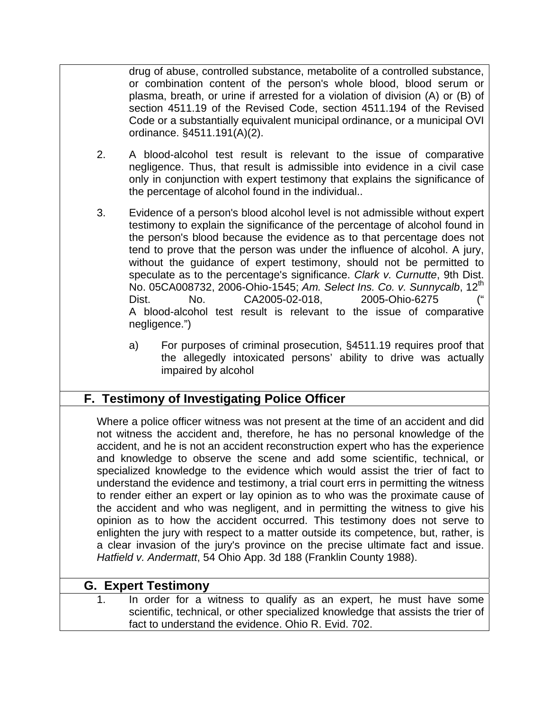drug of abuse, controlled substance, metabolite of a controlled substance, or combination content of the person's whole blood, blood serum or plasma, breath, or urine if arrested for a violation of division (A) or (B) of section 4511.19 of the Revised Code, section 4511.194 of the Revised Code or a substantially equivalent municipal ordinance, or a municipal OVI ordinance. §4511.191(A)(2).

- 2. A blood-alcohol test result is relevant to the issue of comparative negligence. Thus, that result is admissible into evidence in a civil case only in conjunction with expert testimony that explains the significance of the percentage of alcohol found in the individual..
- 3. Evidence of a person's blood alcohol level is not admissible without expert testimony to explain the significance of the percentage of alcohol found in the person's blood because the evidence as to that percentage does not tend to prove that the person was under the influence of alcohol. A jury, without the guidance of expert testimony, should not be permitted to speculate as to the percentage's significance. *Clark v. Curnutte*, 9th Dist. No. 05CA008732, 2006-Ohio-1545; *Am. Select Ins. Co. v. Sunnycalb*, 12th Dist. No. CA2005-02-018, 2005-Ohio-6275 (" A blood-alcohol test result is relevant to the issue of comparative negligence.")
	- a) For purposes of criminal prosecution, §4511.19 requires proof that the allegedly intoxicated persons' ability to drive was actually impaired by alcohol

# **F. Testimony of Investigating Police Officer**

Where a police officer witness was not present at the time of an accident and did not witness the accident and, therefore, he has no personal knowledge of the accident, and he is not an accident reconstruction expert who has the experience and knowledge to observe the scene and add some scientific, technical, or specialized knowledge to the evidence which would assist the trier of fact to understand the evidence and testimony, a trial court errs in permitting the witness to render either an expert or lay opinion as to who was the proximate cause of the accident and who was negligent, and in permitting the witness to give his opinion as to how the accident occurred. This testimony does not serve to enlighten the jury with respect to a matter outside its competence, but, rather, is a clear invasion of the jury's province on the precise ultimate fact and issue. *Hatfield v. Andermatt*, 54 Ohio App. 3d 188 (Franklin County 1988).

## **G. Expert Testimony**

1. In order for a witness to qualify as an expert, he must have some scientific, technical, or other specialized knowledge that assists the trier of fact to understand the evidence. Ohio R. Evid. 702.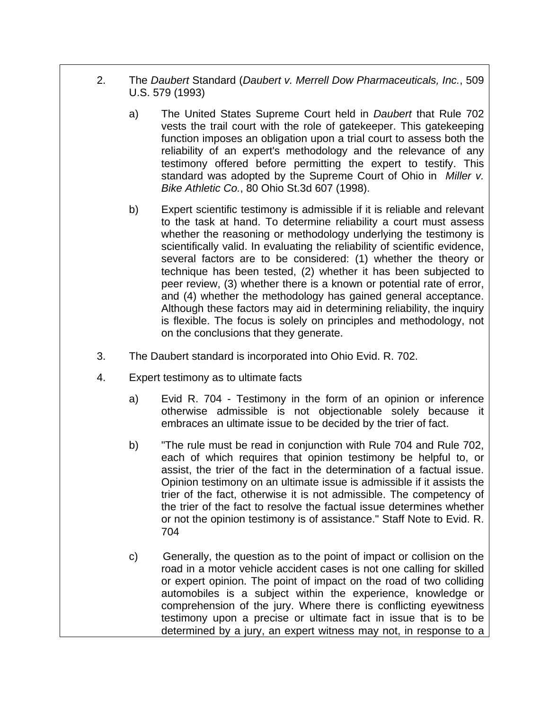- 2. The *Daubert* Standard (*Daubert v. Merrell Dow Pharmaceuticals, Inc.*, 509 U.S. 579 (1993)
	- a) The United States Supreme Court held in *Daubert* that Rule 702 vests the trail court with the role of gatekeeper. This gatekeeping function imposes an obligation upon a trial court to assess both the reliability of an expert's methodology and the relevance of any testimony offered before permitting the expert to testify. This standard was adopted by the Supreme Court of Ohio in *Miller v. Bike Athletic Co.*, 80 Ohio St.3d 607 (1998).
	- b) Expert scientific testimony is admissible if it is reliable and relevant to the task at hand. To determine reliability a court must assess whether the reasoning or methodology underlying the testimony is scientifically valid. In evaluating the reliability of scientific evidence, several factors are to be considered: (1) whether the theory or technique has been tested, (2) whether it has been subjected to peer review, (3) whether there is a known or potential rate of error, and (4) whether the methodology has gained general acceptance. Although these factors may aid in determining reliability, the inquiry is flexible. The focus is solely on principles and methodology, not on the conclusions that they generate.
- 3. The Daubert standard is incorporated into Ohio Evid. R. 702.
- 4. Expert testimony as to ultimate facts
	- a) Evid R. 704 Testimony in the form of an opinion or inference otherwise admissible is not objectionable solely because it embraces an ultimate issue to be decided by the trier of fact.
	- b) "The rule must be read in conjunction with Rule 704 and Rule 702, each of which requires that opinion testimony be helpful to, or assist, the trier of the fact in the determination of a factual issue. Opinion testimony on an ultimate issue is admissible if it assists the trier of the fact, otherwise it is not admissible. The competency of the trier of the fact to resolve the factual issue determines whether or not the opinion testimony is of assistance." Staff Note to Evid. R. 704
	- c) Generally, the question as to the point of impact or collision on the road in a motor vehicle accident cases is not one calling for skilled or expert opinion. The point of impact on the road of two colliding automobiles is a subject within the experience, knowledge or comprehension of the jury. Where there is conflicting eyewitness testimony upon a precise or ultimate fact in issue that is to be determined by a jury, an expert witness may not, in response to a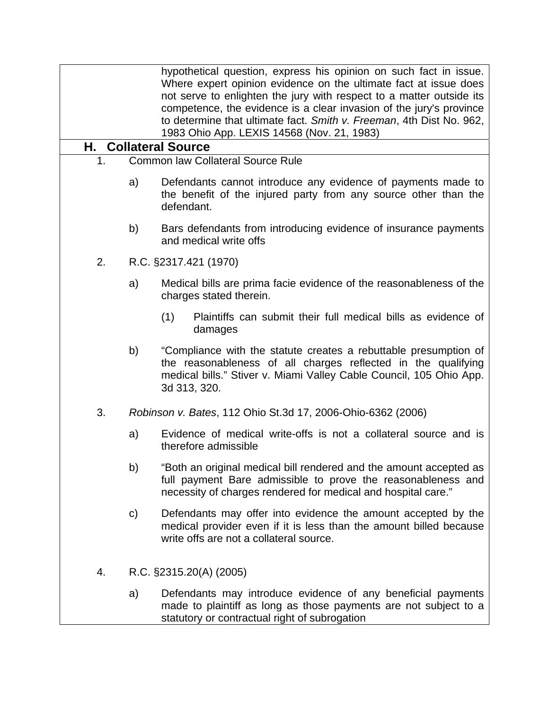|    |              | hypothetical question, express his opinion on such fact in issue.<br>Where expert opinion evidence on the ultimate fact at issue does<br>not serve to enlighten the jury with respect to a matter outside its<br>competence, the evidence is a clear invasion of the jury's province<br>to determine that ultimate fact. Smith v. Freeman, 4th Dist No. 962,<br>1983 Ohio App. LEXIS 14568 (Nov. 21, 1983) |
|----|--------------|------------------------------------------------------------------------------------------------------------------------------------------------------------------------------------------------------------------------------------------------------------------------------------------------------------------------------------------------------------------------------------------------------------|
| Н. |              | <b>Collateral Source</b>                                                                                                                                                                                                                                                                                                                                                                                   |
| 1. |              | <b>Common law Collateral Source Rule</b>                                                                                                                                                                                                                                                                                                                                                                   |
|    | a)           | Defendants cannot introduce any evidence of payments made to<br>the benefit of the injured party from any source other than the<br>defendant.                                                                                                                                                                                                                                                              |
|    | b)           | Bars defendants from introducing evidence of insurance payments<br>and medical write offs                                                                                                                                                                                                                                                                                                                  |
| 2. |              | R.C. §2317.421 (1970)                                                                                                                                                                                                                                                                                                                                                                                      |
|    | a)           | Medical bills are prima facie evidence of the reasonableness of the<br>charges stated therein.                                                                                                                                                                                                                                                                                                             |
|    |              | Plaintiffs can submit their full medical bills as evidence of<br>(1)<br>damages                                                                                                                                                                                                                                                                                                                            |
|    | b)           | "Compliance with the statute creates a rebuttable presumption of<br>the reasonableness of all charges reflected in the qualifying<br>medical bills." Stiver v. Miami Valley Cable Council, 105 Ohio App.<br>3d 313, 320.                                                                                                                                                                                   |
| 3. |              | Robinson v. Bates, 112 Ohio St.3d 17, 2006-Ohio-6362 (2006)                                                                                                                                                                                                                                                                                                                                                |
|    | a)           | Evidence of medical write-offs is not a collateral source and is<br>therefore admissible                                                                                                                                                                                                                                                                                                                   |
|    | b)           | "Both an original medical bill rendered and the amount accepted as<br>full payment Bare admissible to prove the reasonableness and<br>necessity of charges rendered for medical and hospital care."                                                                                                                                                                                                        |
|    | $\mathsf{C}$ | Defendants may offer into evidence the amount accepted by the<br>medical provider even if it is less than the amount billed because<br>write offs are not a collateral source.                                                                                                                                                                                                                             |
| 4. |              | R.C. §2315.20(A) (2005)                                                                                                                                                                                                                                                                                                                                                                                    |
|    | a)           | Defendants may introduce evidence of any beneficial payments<br>made to plaintiff as long as those payments are not subject to a<br>statutory or contractual right of subrogation                                                                                                                                                                                                                          |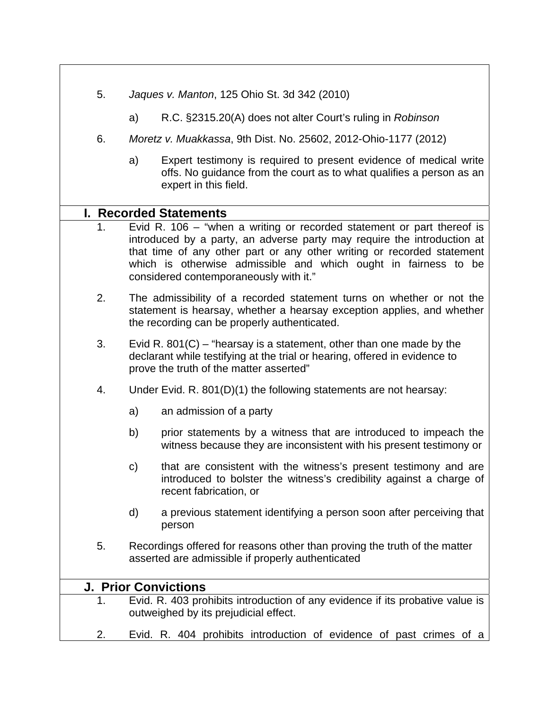- 5. *Jaques v. Manton*, 125 Ohio St. 3d 342 (2010)
	- a) R.C. §2315.20(A) does not alter Court's ruling in *Robinson*
- 6. *Moretz v. Muakkassa*, 9th Dist. No. 25602, 2012-Ohio-1177 (2012)
	- a) Expert testimony is required to present evidence of medical write offs. No guidance from the court as to what qualifies a person as an expert in this field.

### **I. Recorded Statements**

- 1. Evid R. 106 "when a writing or recorded statement or part thereof is introduced by a party, an adverse party may require the introduction at that time of any other part or any other writing or recorded statement which is otherwise admissible and which ought in fairness to be considered contemporaneously with it."
- 2. The admissibility of a recorded statement turns on whether or not the statement is hearsay, whether a hearsay exception applies, and whether the recording can be properly authenticated.
- 3. Evid R. 801(C) "hearsay is a statement, other than one made by the declarant while testifying at the trial or hearing, offered in evidence to prove the truth of the matter asserted"
- 4. Under Evid. R. 801(D)(1) the following statements are not hearsay:
	- a) an admission of a party
	- b) prior statements by a witness that are introduced to impeach the witness because they are inconsistent with his present testimony or
	- c) that are consistent with the witness's present testimony and are introduced to bolster the witness's credibility against a charge of recent fabrication, or
	- d) a previous statement identifying a person soon after perceiving that person
- 5. Recordings offered for reasons other than proving the truth of the matter asserted are admissible if properly authenticated

| <b>J. Prior Convictions</b> |                                                                                                                        |  |  |
|-----------------------------|------------------------------------------------------------------------------------------------------------------------|--|--|
|                             | Evid. R. 403 prohibits introduction of any evidence if its probative value is<br>outweighed by its prejudicial effect. |  |  |
|                             | Evid. R. 404 prohibits introduction of evidence of past crimes of a                                                    |  |  |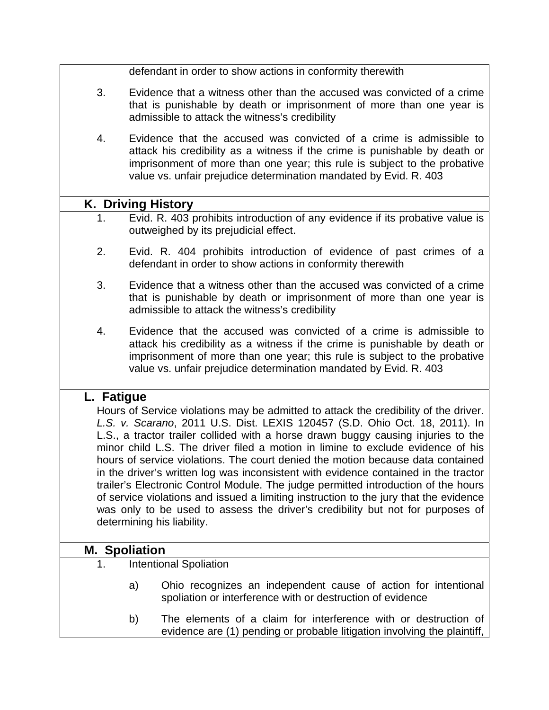defendant in order to show actions in conformity therewith

- 3. Evidence that a witness other than the accused was convicted of a crime that is punishable by death or imprisonment of more than one year is admissible to attack the witness's credibility
- 4. Evidence that the accused was convicted of a crime is admissible to attack his credibility as a witness if the crime is punishable by death or imprisonment of more than one year; this rule is subject to the probative value vs. unfair prejudice determination mandated by Evid. R. 403

### **K. Driving History**

- 1. Evid. R. 403 prohibits introduction of any evidence if its probative value is outweighed by its prejudicial effect.
- 2. Evid. R. 404 prohibits introduction of evidence of past crimes of a defendant in order to show actions in conformity therewith
- 3. Evidence that a witness other than the accused was convicted of a crime that is punishable by death or imprisonment of more than one year is admissible to attack the witness's credibility
- 4. Evidence that the accused was convicted of a crime is admissible to attack his credibility as a witness if the crime is punishable by death or imprisonment of more than one year; this rule is subject to the probative value vs. unfair prejudice determination mandated by Evid. R. 403

### **L. Fatigue**

Hours of Service violations may be admitted to attack the credibility of the driver. *L.S. v. Scarano*, 2011 U.S. Dist. LEXIS 120457 (S.D. Ohio Oct. 18, 2011). In L.S., a tractor trailer collided with a horse drawn buggy causing injuries to the minor child L.S. The driver filed a motion in limine to exclude evidence of his hours of service violations. The court denied the motion because data contained in the driver's written log was inconsistent with evidence contained in the tractor trailer's Electronic Control Module. The judge permitted introduction of the hours of service violations and issued a limiting instruction to the jury that the evidence was only to be used to assess the driver's credibility but not for purposes of determining his liability.

### **M. Spoliation**

- 1. Intentional Spoliation
	- a) Ohio recognizes an independent cause of action for intentional spoliation or interference with or destruction of evidence
	- b) The elements of a claim for interference with or destruction of evidence are (1) pending or probable litigation involving the plaintiff,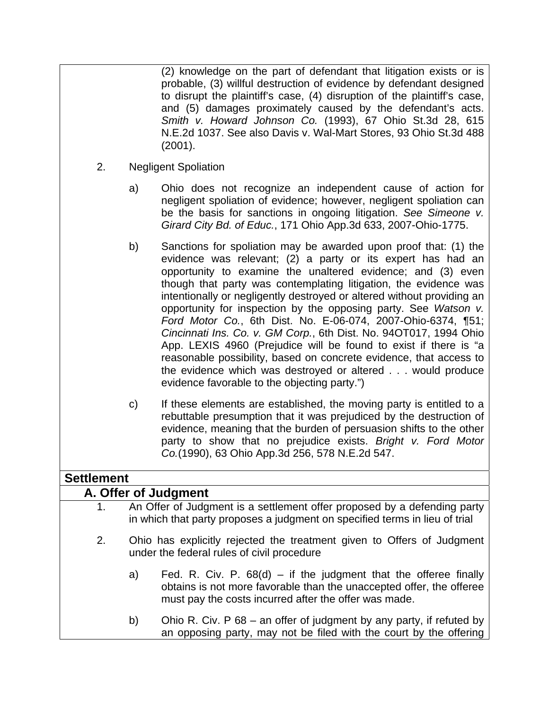(2) knowledge on the part of defendant that litigation exists or is probable, (3) willful destruction of evidence by defendant designed to disrupt the plaintiff's case, (4) disruption of the plaintiff's case, and (5) damages proximately caused by the defendant's acts. *Smith v. Howard Johnson Co.* (1993), 67 Ohio St.3d 28, 615 N.E.2d 1037. See also Davis v. Wal-Mart Stores, 93 Ohio St.3d 488 (2001).

- 2. Negligent Spoliation
	- a) Ohio does not recognize an independent cause of action for negligent spoliation of evidence; however, negligent spoliation can be the basis for sanctions in ongoing litigation. *See Simeone v. Girard City Bd. of Educ.*, 171 Ohio App.3d 633, 2007-Ohio-1775.
	- b) Sanctions for spoliation may be awarded upon proof that: (1) the evidence was relevant; (2) a party or its expert has had an opportunity to examine the unaltered evidence; and (3) even though that party was contemplating litigation, the evidence was intentionally or negligently destroyed or altered without providing an opportunity for inspection by the opposing party. See *Watson v. Ford Motor Co.*, 6th Dist. No. E-06-074, 2007-Ohio-6374, ¶51; *Cincinnati Ins. Co. v. GM Corp.*, 6th Dist. No. 94OT017, 1994 Ohio App. LEXIS 4960 (Prejudice will be found to exist if there is "a reasonable possibility, based on concrete evidence, that access to the evidence which was destroyed or altered . . . would produce evidence favorable to the objecting party.")
	- c) If these elements are established, the moving party is entitled to a rebuttable presumption that it was prejudiced by the destruction of evidence, meaning that the burden of persuasion shifts to the other party to show that no prejudice exists. *Bright v. Ford Motor Co.*(1990), 63 Ohio App.3d 256, 578 N.E.2d 547.

### **Settlement**

| A. Offer of Judgment |                                                                                                                                                                                                           |  |  |
|----------------------|-----------------------------------------------------------------------------------------------------------------------------------------------------------------------------------------------------------|--|--|
| 1.                   | An Offer of Judgment is a settlement offer proposed by a defending party<br>in which that party proposes a judgment on specified terms in lieu of trial                                                   |  |  |
| 2.                   | Ohio has explicitly rejected the treatment given to Offers of Judgment<br>under the federal rules of civil procedure                                                                                      |  |  |
|                      | Fed. R. Civ. P. $68(d)$ – if the judgment that the offeree finally<br>a)<br>obtains is not more favorable than the unaccepted offer, the offeree<br>must pay the costs incurred after the offer was made. |  |  |
|                      | Ohio R. Civ. P 68 – an offer of judgment by any party, if refuted by<br>b)<br>an opposing party, may not be filed with the court by the offering                                                          |  |  |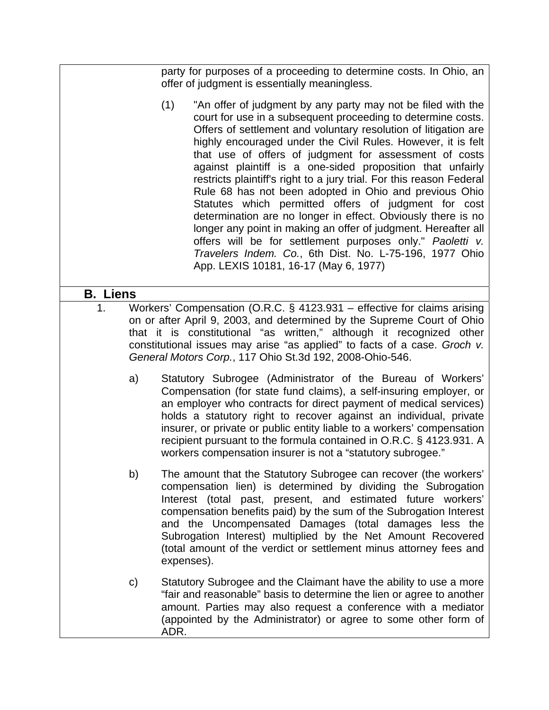party for purposes of a proceeding to determine costs. In Ohio, an offer of judgment is essentially meaningless.

(1) "An offer of judgment by any party may not be filed with the court for use in a subsequent proceeding to determine costs. Offers of settlement and voluntary resolution of litigation are highly encouraged under the Civil Rules. However, it is felt that use of offers of judgment for assessment of costs against plaintiff is a one-sided proposition that unfairly restricts plaintiff's right to a jury trial. For this reason Federal Rule 68 has not been adopted in Ohio and previous Ohio Statutes which permitted offers of judgment for cost determination are no longer in effect. Obviously there is no longer any point in making an offer of judgment. Hereafter all offers will be for settlement purposes only." *Paoletti v. Travelers Indem. Co.*, 6th Dist. No. L-75-196, 1977 Ohio App. LEXIS 10181, 16-17 (May 6, 1977)

## **B. Liens**

- 1. Workers' Compensation (O.R.C. § 4123.931 effective for claims arising on or after April 9, 2003, and determined by the Supreme Court of Ohio that it is constitutional "as written," although it recognized other constitutional issues may arise "as applied" to facts of a case. *Groch v. General Motors Corp.*, 117 Ohio St.3d 192, 2008-Ohio-546.
	- a) Statutory Subrogee (Administrator of the Bureau of Workers' Compensation (for state fund claims), a self-insuring employer, or an employer who contracts for direct payment of medical services) holds a statutory right to recover against an individual, private insurer, or private or public entity liable to a workers' compensation recipient pursuant to the formula contained in O.R.C. § 4123.931. A workers compensation insurer is not a "statutory subrogee."
	- b) The amount that the Statutory Subrogee can recover (the workers' compensation lien) is determined by dividing the Subrogation Interest (total past, present, and estimated future workers' compensation benefits paid) by the sum of the Subrogation Interest and the Uncompensated Damages (total damages less the Subrogation Interest) multiplied by the Net Amount Recovered (total amount of the verdict or settlement minus attorney fees and expenses).
	- c) Statutory Subrogee and the Claimant have the ability to use a more "fair and reasonable" basis to determine the lien or agree to another amount. Parties may also request a conference with a mediator (appointed by the Administrator) or agree to some other form of ADR.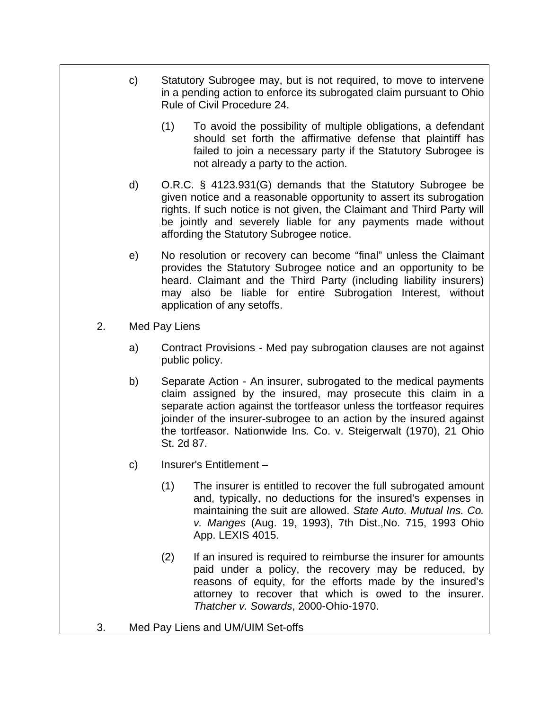- c) Statutory Subrogee may, but is not required, to move to intervene in a pending action to enforce its subrogated claim pursuant to Ohio Rule of Civil Procedure 24.
	- (1) To avoid the possibility of multiple obligations, a defendant should set forth the affirmative defense that plaintiff has failed to join a necessary party if the Statutory Subrogee is not already a party to the action.
- d) O.R.C. § 4123.931(G) demands that the Statutory Subrogee be given notice and a reasonable opportunity to assert its subrogation rights. If such notice is not given, the Claimant and Third Party will be jointly and severely liable for any payments made without affording the Statutory Subrogee notice.
- e) No resolution or recovery can become "final" unless the Claimant provides the Statutory Subrogee notice and an opportunity to be heard. Claimant and the Third Party (including liability insurers) may also be liable for entire Subrogation Interest, without application of any setoffs.
- 2. Med Pay Liens
	- a) Contract Provisions Med pay subrogation clauses are not against public policy.
	- b) Separate Action An insurer, subrogated to the medical payments claim assigned by the insured, may prosecute this claim in a separate action against the tortfeasor unless the tortfeasor requires joinder of the insurer-subrogee to an action by the insured against the tortfeasor. Nationwide Ins. Co. v. Steigerwalt (1970), 21 Ohio St. 2d 87.
	- c) Insurer's Entitlement
		- (1) The insurer is entitled to recover the full subrogated amount and, typically, no deductions for the insured's expenses in maintaining the suit are allowed. *State Auto. Mutual Ins. Co. v. Manges* (Aug. 19, 1993), 7th Dist.,No. 715, 1993 Ohio App. LEXIS 4015.
		- (2) If an insured is required to reimburse the insurer for amounts paid under a policy, the recovery may be reduced, by reasons of equity, for the efforts made by the insured's attorney to recover that which is owed to the insurer. *Thatcher v. Sowards*, 2000-Ohio-1970.
- 3. Med Pay Liens and UM/UIM Set-offs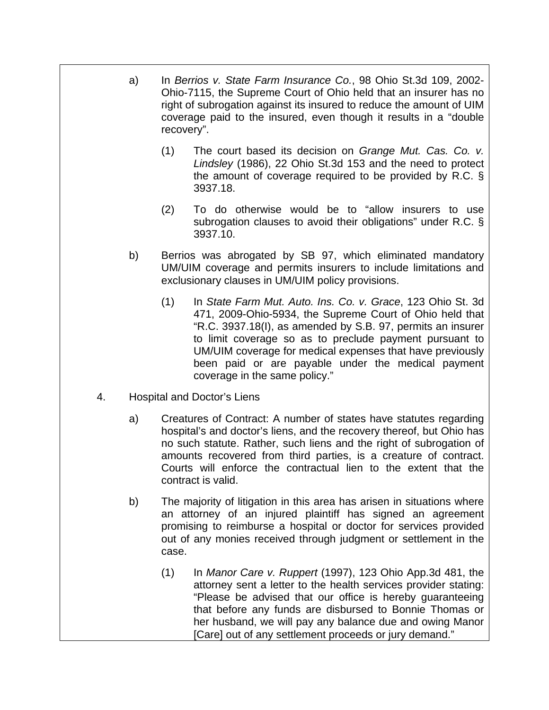- a) In *Berrios v. State Farm Insurance Co.*, 98 Ohio St.3d 109, 2002- Ohio-7115, the Supreme Court of Ohio held that an insurer has no right of subrogation against its insured to reduce the amount of UIM coverage paid to the insured, even though it results in a "double recovery".
	- (1) The court based its decision on *Grange Mut. Cas. Co. v. Lindsley* (1986), 22 Ohio St.3d 153 and the need to protect the amount of coverage required to be provided by R.C. § 3937.18.
	- (2) To do otherwise would be to "allow insurers to use subrogation clauses to avoid their obligations" under R.C. § 3937.10.
- b) Berrios was abrogated by SB 97, which eliminated mandatory UM/UIM coverage and permits insurers to include limitations and exclusionary clauses in UM/UIM policy provisions.
	- (1) In *State Farm Mut. Auto. Ins. Co. v. Grace*, 123 Ohio St. 3d 471, 2009-Ohio-5934, the Supreme Court of Ohio held that "R.C. 3937.18(I), as amended by S.B. 97, permits an insurer to limit coverage so as to preclude payment pursuant to UM/UIM coverage for medical expenses that have previously been paid or are payable under the medical payment coverage in the same policy."
- 4. Hospital and Doctor's Liens
	- a) Creatures of Contract: A number of states have statutes regarding hospital's and doctor's liens, and the recovery thereof, but Ohio has no such statute. Rather, such liens and the right of subrogation of amounts recovered from third parties, is a creature of contract. Courts will enforce the contractual lien to the extent that the contract is valid.
	- b) The majority of litigation in this area has arisen in situations where an attorney of an injured plaintiff has signed an agreement promising to reimburse a hospital or doctor for services provided out of any monies received through judgment or settlement in the case.
		- (1) In *Manor Care v. Ruppert* (1997), 123 Ohio App.3d 481, the attorney sent a letter to the health services provider stating: "Please be advised that our office is hereby guaranteeing that before any funds are disbursed to Bonnie Thomas or her husband, we will pay any balance due and owing Manor [Care] out of any settlement proceeds or jury demand."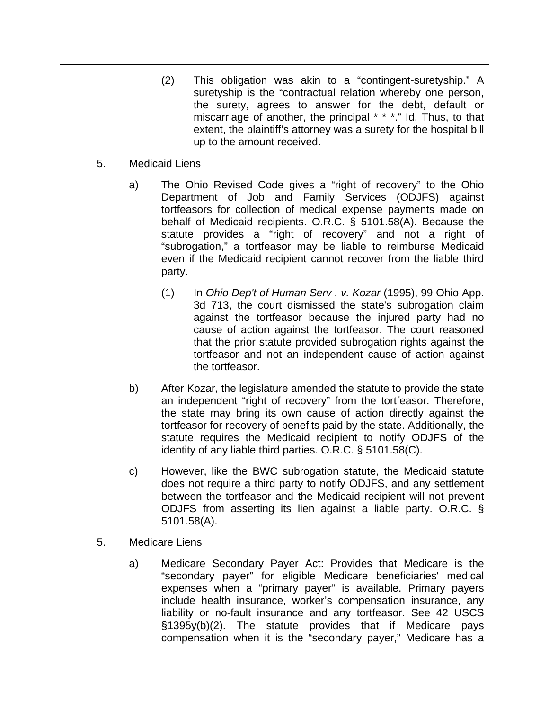(2) This obligation was akin to a "contingent-suretyship." A suretyship is the "contractual relation whereby one person, the surety, agrees to answer for the debt, default or miscarriage of another, the principal \* \* \*." Id. Thus, to that extent, the plaintiff's attorney was a surety for the hospital bill up to the amount received.

### 5. Medicaid Liens

- a) The Ohio Revised Code gives a "right of recovery" to the Ohio Department of Job and Family Services (ODJFS) against tortfeasors for collection of medical expense payments made on behalf of Medicaid recipients. O.R.C. § 5101.58(A). Because the statute provides a "right of recovery" and not a right of "subrogation," a tortfeasor may be liable to reimburse Medicaid even if the Medicaid recipient cannot recover from the liable third party.
	- (1) In *Ohio Dep't of Human Serv . v. Kozar* (1995), 99 Ohio App. 3d 713, the court dismissed the state's subrogation claim against the tortfeasor because the injured party had no cause of action against the tortfeasor. The court reasoned that the prior statute provided subrogation rights against the tortfeasor and not an independent cause of action against the tortfeasor.
- b) After Kozar, the legislature amended the statute to provide the state an independent "right of recovery" from the tortfeasor. Therefore, the state may bring its own cause of action directly against the tortfeasor for recovery of benefits paid by the state. Additionally, the statute requires the Medicaid recipient to notify ODJFS of the identity of any liable third parties. O.R.C. § 5101.58(C).
- c) However, like the BWC subrogation statute, the Medicaid statute does not require a third party to notify ODJFS, and any settlement between the tortfeasor and the Medicaid recipient will not prevent ODJFS from asserting its lien against a liable party. O.R.C. § 5101.58(A).
- 5. Medicare Liens
	- a) Medicare Secondary Payer Act: Provides that Medicare is the "secondary payer" for eligible Medicare beneficiaries' medical expenses when a "primary payer" is available. Primary payers include health insurance, worker's compensation insurance, any liability or no-fault insurance and any tortfeasor. See 42 USCS §1395y(b)(2). The statute provides that if Medicare pays compensation when it is the "secondary payer," Medicare has a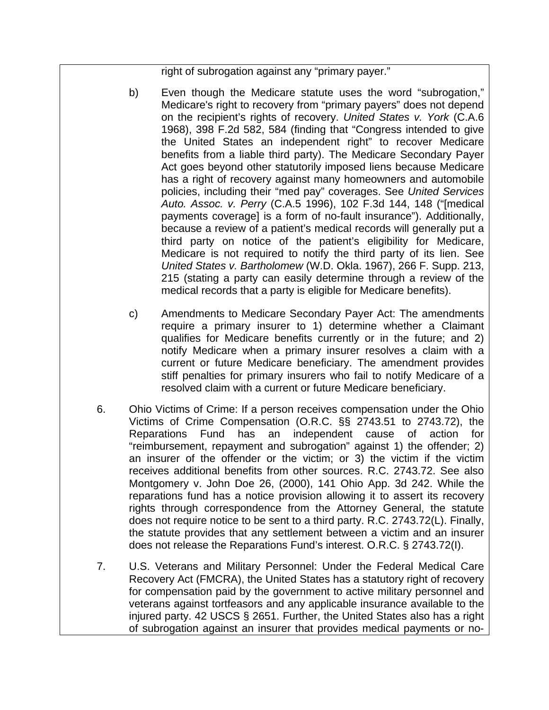right of subrogation against any "primary payer."

- b) Even though the Medicare statute uses the word "subrogation," Medicare's right to recovery from "primary payers" does not depend on the recipient's rights of recovery. *United States v. York* (C.A.6 1968), 398 F.2d 582, 584 (finding that "Congress intended to give the United States an independent right" to recover Medicare benefits from a liable third party). The Medicare Secondary Payer Act goes beyond other statutorily imposed liens because Medicare has a right of recovery against many homeowners and automobile policies, including their "med pay" coverages. See *United Services Auto. Assoc. v. Perry* (C.A.5 1996), 102 F.3d 144, 148 ("[medical payments coverage] is a form of no-fault insurance"). Additionally, because a review of a patient's medical records will generally put a third party on notice of the patient's eligibility for Medicare, Medicare is not required to notify the third party of its lien. See *United States v. Bartholomew* (W.D. Okla. 1967), 266 F. Supp. 213, 215 (stating a party can easily determine through a review of the medical records that a party is eligible for Medicare benefits).
- c) Amendments to Medicare Secondary Payer Act: The amendments require a primary insurer to 1) determine whether a Claimant qualifies for Medicare benefits currently or in the future; and 2) notify Medicare when a primary insurer resolves a claim with a current or future Medicare beneficiary. The amendment provides stiff penalties for primary insurers who fail to notify Medicare of a resolved claim with a current or future Medicare beneficiary.
- 6. Ohio Victims of Crime: If a person receives compensation under the Ohio Victims of Crime Compensation (O.R.C. §§ 2743.51 to 2743.72), the Reparations Fund has an independent cause of action for "reimbursement, repayment and subrogation" against 1) the offender; 2) an insurer of the offender or the victim; or 3) the victim if the victim receives additional benefits from other sources. R.C. 2743.72. See also Montgomery v. John Doe 26, (2000), 141 Ohio App. 3d 242. While the reparations fund has a notice provision allowing it to assert its recovery rights through correspondence from the Attorney General, the statute does not require notice to be sent to a third party. R.C. 2743.72(L). Finally, the statute provides that any settlement between a victim and an insurer does not release the Reparations Fund's interest. O.R.C. § 2743.72(I).
- 7. U.S. Veterans and Military Personnel: Under the Federal Medical Care Recovery Act (FMCRA), the United States has a statutory right of recovery for compensation paid by the government to active military personnel and veterans against tortfeasors and any applicable insurance available to the injured party. 42 USCS § 2651. Further, the United States also has a right of subrogation against an insurer that provides medical payments or no-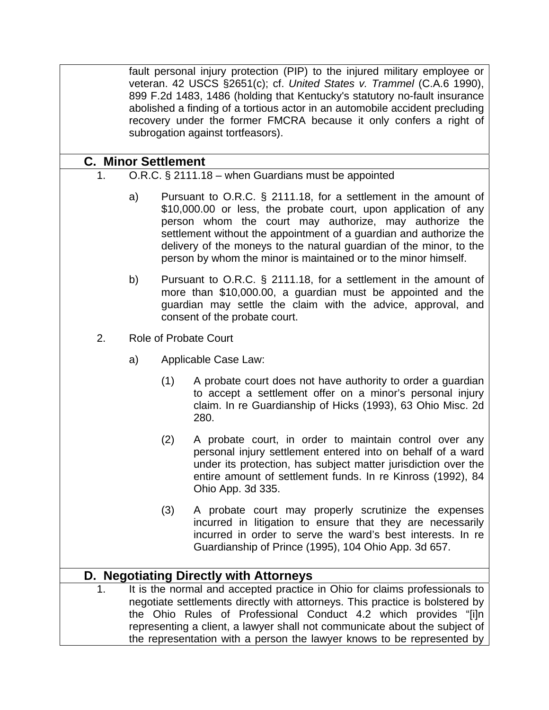fault personal injury protection (PIP) to the injured military employee or veteran. 42 USCS §2651(c); cf. *United States v. Trammel* (C.A.6 1990), 899 F.2d 1483, 1486 (holding that Kentucky's statutory no-fault insurance abolished a finding of a tortious actor in an automobile accident precluding recovery under the former FMCRA because it only confers a right of subrogation against tortfeasors).

### **C. Minor Settlement**

- 1. O.R.C. § 2111.18 when Guardians must be appointed
	- a) Pursuant to O.R.C. § 2111.18, for a settlement in the amount of \$10,000.00 or less, the probate court, upon application of any person whom the court may authorize, may authorize the settlement without the appointment of a guardian and authorize the delivery of the moneys to the natural guardian of the minor, to the person by whom the minor is maintained or to the minor himself.
	- b) Pursuant to O.R.C. § 2111.18, for a settlement in the amount of more than \$10,000.00, a guardian must be appointed and the guardian may settle the claim with the advice, approval, and consent of the probate court.
- 2. Role of Probate Court
	- a) Applicable Case Law:
		- (1) A probate court does not have authority to order a guardian to accept a settlement offer on a minor's personal injury claim. In re Guardianship of Hicks (1993), 63 Ohio Misc. 2d 280.
		- (2) A probate court, in order to maintain control over any personal injury settlement entered into on behalf of a ward under its protection, has subject matter jurisdiction over the entire amount of settlement funds. In re Kinross (1992), 84 Ohio App. 3d 335.
		- (3) A probate court may properly scrutinize the expenses incurred in litigation to ensure that they are necessarily incurred in order to serve the ward's best interests. In re Guardianship of Prince (1995), 104 Ohio App. 3d 657.

## **D. Negotiating Directly with Attorneys**

1. It is the normal and accepted practice in Ohio for claims professionals to negotiate settlements directly with attorneys. This practice is bolstered by the Ohio Rules of Professional Conduct 4.2 which provides "[i]n representing a client, a lawyer shall not communicate about the subject of the representation with a person the lawyer knows to be represented by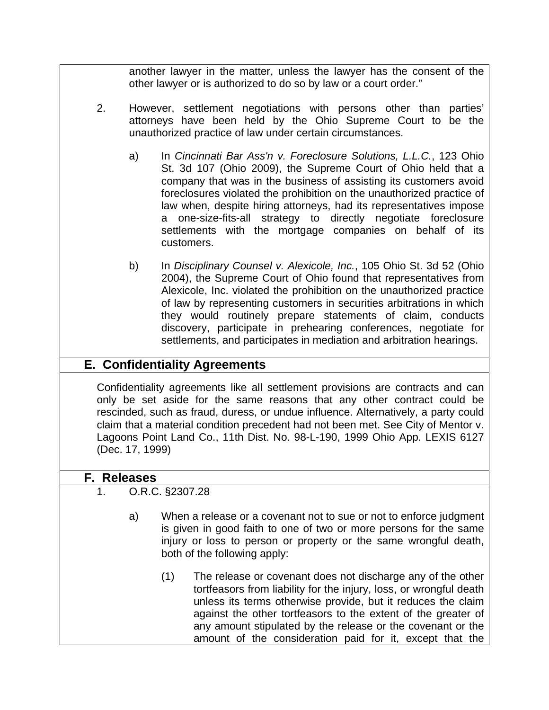another lawyer in the matter, unless the lawyer has the consent of the other lawyer or is authorized to do so by law or a court order."

- 2. However, settlement negotiations with persons other than parties' attorneys have been held by the Ohio Supreme Court to be the unauthorized practice of law under certain circumstances.
	- a) In *Cincinnati Bar Ass'n v. Foreclosure Solutions, L.L.C.*, 123 Ohio St. 3d 107 (Ohio 2009), the Supreme Court of Ohio held that a company that was in the business of assisting its customers avoid foreclosures violated the prohibition on the unauthorized practice of law when, despite hiring attorneys, had its representatives impose a one-size-fits-all strategy to directly negotiate foreclosure settlements with the mortgage companies on behalf of its customers.
	- b) In *Disciplinary Counsel v. Alexicole, Inc.*, 105 Ohio St. 3d 52 (Ohio 2004), the Supreme Court of Ohio found that representatives from Alexicole, Inc. violated the prohibition on the unauthorized practice of law by representing customers in securities arbitrations in which they would routinely prepare statements of claim, conducts discovery, participate in prehearing conferences, negotiate for settlements, and participates in mediation and arbitration hearings.

# **E. Confidentiality Agreements**

Confidentiality agreements like all settlement provisions are contracts and can only be set aside for the same reasons that any other contract could be rescinded, such as fraud, duress, or undue influence. Alternatively, a party could claim that a material condition precedent had not been met. See City of Mentor v. Lagoons Point Land Co., 11th Dist. No. 98-L-190, 1999 Ohio App. LEXIS 6127 (Dec. 17, 1999)

### **F. Releases**

- 1. O.R.C. §2307.28
	- a) When a release or a covenant not to sue or not to enforce judgment is given in good faith to one of two or more persons for the same injury or loss to person or property or the same wrongful death, both of the following apply:
		- (1) The release or covenant does not discharge any of the other tortfeasors from liability for the injury, loss, or wrongful death unless its terms otherwise provide, but it reduces the claim against the other tortfeasors to the extent of the greater of any amount stipulated by the release or the covenant or the amount of the consideration paid for it, except that the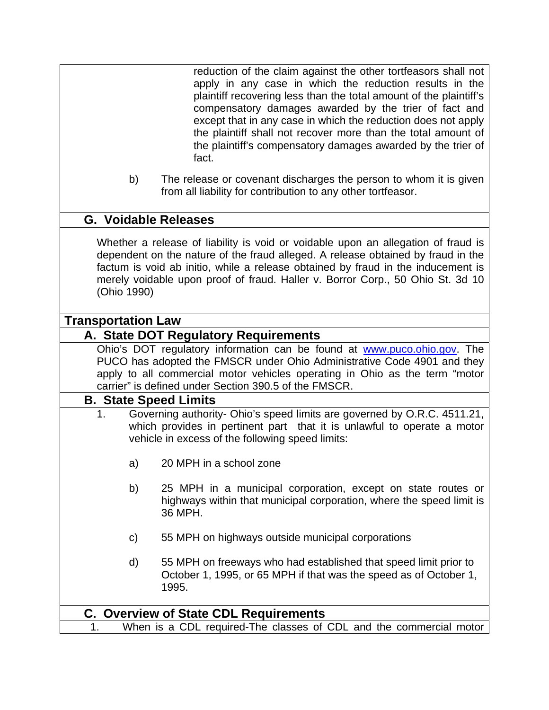reduction of the claim against the other tortfeasors shall not apply in any case in which the reduction results in the plaintiff recovering less than the total amount of the plaintiff's compensatory damages awarded by the trier of fact and except that in any case in which the reduction does not apply the plaintiff shall not recover more than the total amount of the plaintiff's compensatory damages awarded by the trier of fact.

b) The release or covenant discharges the person to whom it is given from all liability for contribution to any other tortfeasor.

### **G. Voidable Releases**

Whether a release of liability is void or voidable upon an allegation of fraud is dependent on the nature of the fraud alleged. A release obtained by fraud in the factum is void ab initio, while a release obtained by fraud in the inducement is merely voidable upon proof of fraud. Haller v. Borror Corp., 50 Ohio St. 3d 10 (Ohio 1990)

### **Transportation Law**

### **A. State DOT Regulatory Requirements**

Ohio's DOT regulatory information can be found at www.puco.ohio.gov. The PUCO has adopted the FMSCR under Ohio Administrative Code 4901 and they apply to all commercial motor vehicles operating in Ohio as the term "motor carrier" is defined under Section 390.5 of the FMSCR.

### **B. State Speed Limits**

- 1. Governing authority- Ohio's speed limits are governed by O.R.C. 4511.21, which provides in pertinent part that it is unlawful to operate a motor vehicle in excess of the following speed limits:
	- a) 20 MPH in a school zone
	- b) 25 MPH in a municipal corporation, except on state routes or highways within that municipal corporation, where the speed limit is 36 MPH.
	- c) 55 MPH on highways outside municipal corporations
	- d) 55 MPH on freeways who had established that speed limit prior to October 1, 1995, or 65 MPH if that was the speed as of October 1, 1995.

## **C. Overview of State CDL Requirements**

1. When is a CDL required-The classes of CDL and the commercial motor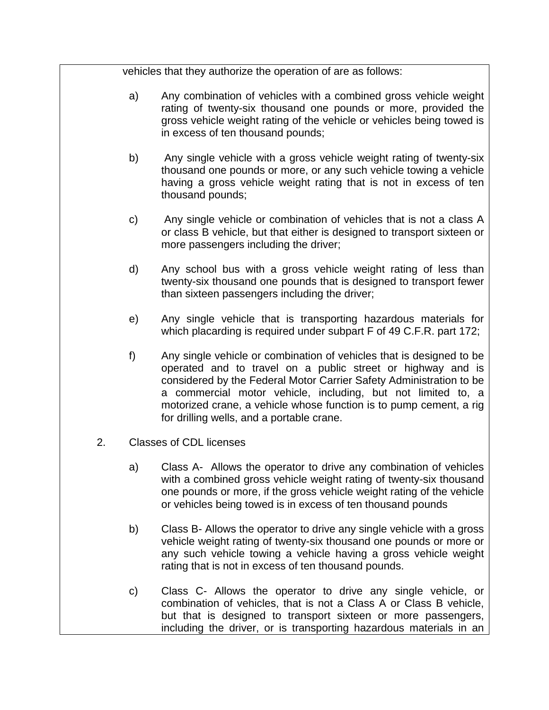vehicles that they authorize the operation of are as follows:

- a) Any combination of vehicles with a combined gross vehicle weight rating of twenty-six thousand one pounds or more, provided the gross vehicle weight rating of the vehicle or vehicles being towed is in excess of ten thousand pounds;
- b) Any single vehicle with a gross vehicle weight rating of twenty-six thousand one pounds or more, or any such vehicle towing a vehicle having a gross vehicle weight rating that is not in excess of ten thousand pounds;
- c) Any single vehicle or combination of vehicles that is not a class A or class B vehicle, but that either is designed to transport sixteen or more passengers including the driver;
- d) Any school bus with a gross vehicle weight rating of less than twenty-six thousand one pounds that is designed to transport fewer than sixteen passengers including the driver;
- e) Any single vehicle that is transporting hazardous materials for which placarding is required under subpart F of 49 C.F.R. part 172;
- f) Any single vehicle or combination of vehicles that is designed to be operated and to travel on a public street or highway and is considered by the Federal Motor Carrier Safety Administration to be a commercial motor vehicle, including, but not limited to, a motorized crane, a vehicle whose function is to pump cement, a rig for drilling wells, and a portable crane.
- 2. Classes of CDL licenses
	- a) Class A- Allows the operator to drive any combination of vehicles with a combined gross vehicle weight rating of twenty-six thousand one pounds or more, if the gross vehicle weight rating of the vehicle or vehicles being towed is in excess of ten thousand pounds
	- b) Class B- Allows the operator to drive any single vehicle with a gross vehicle weight rating of twenty-six thousand one pounds or more or any such vehicle towing a vehicle having a gross vehicle weight rating that is not in excess of ten thousand pounds.
	- c) Class C- Allows the operator to drive any single vehicle, or combination of vehicles, that is not a Class A or Class B vehicle, but that is designed to transport sixteen or more passengers, including the driver, or is transporting hazardous materials in an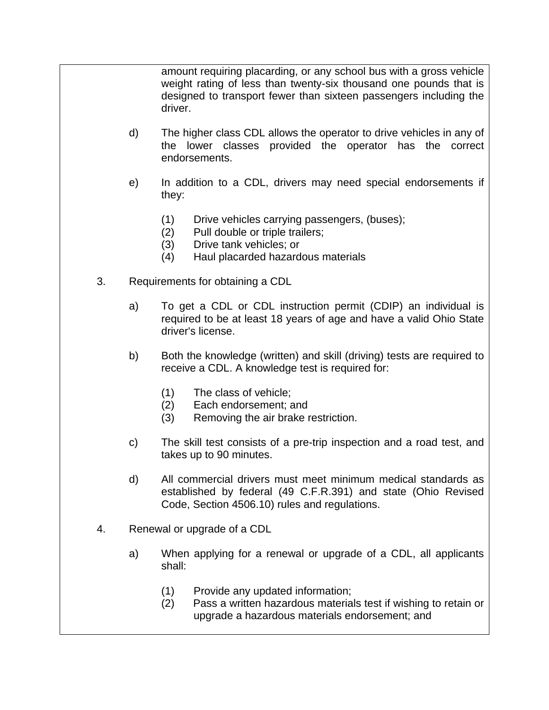amount requiring placarding, or any school bus with a gross vehicle weight rating of less than twenty-six thousand one pounds that is designed to transport fewer than sixteen passengers including the driver.

- d) The higher class CDL allows the operator to drive vehicles in any of the lower classes provided the operator has the correct endorsements.
- e) In addition to a CDL, drivers may need special endorsements if they:
	- (1) Drive vehicles carrying passengers, (buses);
	- (2) Pull double or triple trailers;
	- (3) Drive tank vehicles; or
	- (4) Haul placarded hazardous materials
- 3. Requirements for obtaining a CDL
	- a) To get a CDL or CDL instruction permit (CDIP) an individual is required to be at least 18 years of age and have a valid Ohio State driver's license.
	- b) Both the knowledge (written) and skill (driving) tests are required to receive a CDL. A knowledge test is required for:
		- (1) The class of vehicle;
		- (2) Each endorsement; and
		- (3) Removing the air brake restriction.
	- c) The skill test consists of a pre-trip inspection and a road test, and takes up to 90 minutes.
	- d) All commercial drivers must meet minimum medical standards as established by federal (49 C.F.R.391) and state (Ohio Revised Code, Section 4506.10) rules and regulations.
- 4. Renewal or upgrade of a CDL
	- a) When applying for a renewal or upgrade of a CDL, all applicants shall:
		- (1) Provide any updated information;
		- (2) Pass a written hazardous materials test if wishing to retain or upgrade a hazardous materials endorsement; and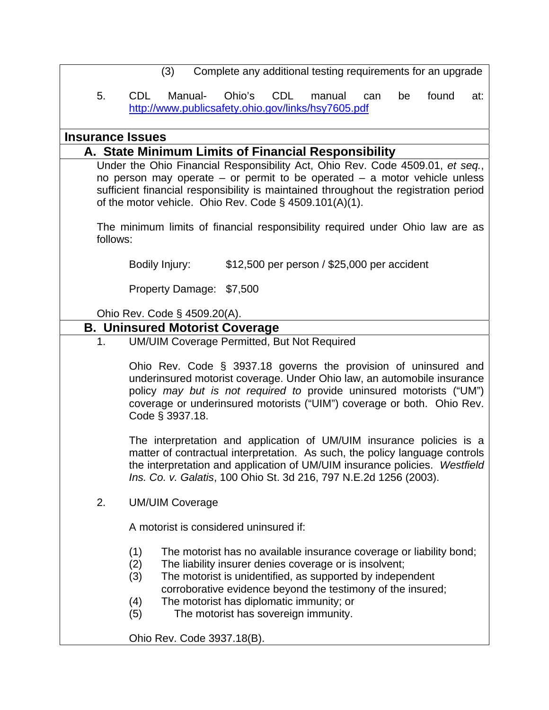|                         | (3)<br>Complete any additional testing requirements for an upgrade                                                                                                                                                                                                                                                                |
|-------------------------|-----------------------------------------------------------------------------------------------------------------------------------------------------------------------------------------------------------------------------------------------------------------------------------------------------------------------------------|
| 5.                      | <b>CDL</b><br>Ohio's<br>CDL<br>Manual-<br>found<br>manual<br>be<br>can<br>at:<br>http://www.publicsafety.ohio.gov/links/hsy7605.pdf                                                                                                                                                                                               |
| <b>Insurance Issues</b> |                                                                                                                                                                                                                                                                                                                                   |
|                         | A. State Minimum Limits of Financial Responsibility                                                                                                                                                                                                                                                                               |
|                         | Under the Ohio Financial Responsibility Act, Ohio Rev. Code 4509.01, et seq.,<br>no person may operate $-$ or permit to be operated $-$ a motor vehicle unless<br>sufficient financial responsibility is maintained throughout the registration period<br>of the motor vehicle. Ohio Rev. Code § 4509.101(A)(1).                  |
| follows:                | The minimum limits of financial responsibility required under Ohio law are as                                                                                                                                                                                                                                                     |
|                         | \$12,500 per person / \$25,000 per accident<br>Bodily Injury:                                                                                                                                                                                                                                                                     |
|                         | Property Damage: \$7,500                                                                                                                                                                                                                                                                                                          |
|                         | Ohio Rev. Code § 4509.20(A).                                                                                                                                                                                                                                                                                                      |
|                         | <b>B. Uninsured Motorist Coverage</b>                                                                                                                                                                                                                                                                                             |
| 1 <sub>1</sub>          | <b>UM/UIM Coverage Permitted, But Not Required</b>                                                                                                                                                                                                                                                                                |
|                         | Ohio Rev. Code § 3937.18 governs the provision of uninsured and<br>underinsured motorist coverage. Under Ohio law, an automobile insurance<br>policy may but is not required to provide uninsured motorists ("UM")<br>coverage or underinsured motorists ("UIM") coverage or both. Ohio Rev.<br>Code § 3937.18.                   |
|                         | The interpretation and application of UM/UIM insurance policies is a<br>matter of contractual interpretation. As such, the policy language controls<br>the interpretation and application of UM/UIM insurance policies. Westfield<br>Ins. Co. v. Galatis, 100 Ohio St. 3d 216, 797 N.E.2d 1256 (2003).                            |
| 2.                      | <b>UM/UIM Coverage</b>                                                                                                                                                                                                                                                                                                            |
|                         | A motorist is considered uninsured if:                                                                                                                                                                                                                                                                                            |
|                         | (1)<br>The motorist has no available insurance coverage or liability bond;<br>(2)<br>The liability insurer denies coverage or is insolvent;<br>The motorist is unidentified, as supported by independent<br>(3)<br>corroborative evidence beyond the testimony of the insured;<br>The motorist has diplomatic immunity; or<br>(4) |
|                         | The motorist has sovereign immunity.<br>(5)<br>Ohio Rev. Code 3937.18(B).                                                                                                                                                                                                                                                         |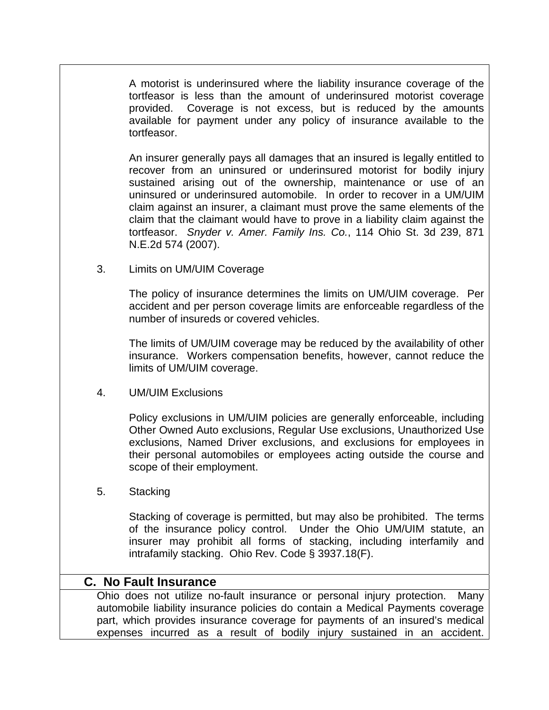A motorist is underinsured where the liability insurance coverage of the tortfeasor is less than the amount of underinsured motorist coverage provided. Coverage is not excess, but is reduced by the amounts available for payment under any policy of insurance available to the tortfeasor.

An insurer generally pays all damages that an insured is legally entitled to recover from an uninsured or underinsured motorist for bodily injury sustained arising out of the ownership, maintenance or use of an uninsured or underinsured automobile. In order to recover in a UM/UIM claim against an insurer, a claimant must prove the same elements of the claim that the claimant would have to prove in a liability claim against the tortfeasor. *Snyder v. Amer. Family Ins. Co.*, 114 Ohio St. 3d 239, 871 N.E.2d 574 (2007).

3. Limits on UM/UIM Coverage

The policy of insurance determines the limits on UM/UIM coverage. Per accident and per person coverage limits are enforceable regardless of the number of insureds or covered vehicles.

The limits of UM/UIM coverage may be reduced by the availability of other insurance. Workers compensation benefits, however, cannot reduce the limits of UM/UIM coverage.

4. UM/UIM Exclusions

Policy exclusions in UM/UIM policies are generally enforceable, including Other Owned Auto exclusions, Regular Use exclusions, Unauthorized Use exclusions, Named Driver exclusions, and exclusions for employees in their personal automobiles or employees acting outside the course and scope of their employment.

5. Stacking

Stacking of coverage is permitted, but may also be prohibited. The terms of the insurance policy control. Under the Ohio UM/UIM statute, an insurer may prohibit all forms of stacking, including interfamily and intrafamily stacking. Ohio Rev. Code § 3937.18(F).

### **C. No Fault Insurance**

Ohio does not utilize no-fault insurance or personal injury protection. Many automobile liability insurance policies do contain a Medical Payments coverage part, which provides insurance coverage for payments of an insured's medical expenses incurred as a result of bodily injury sustained in an accident.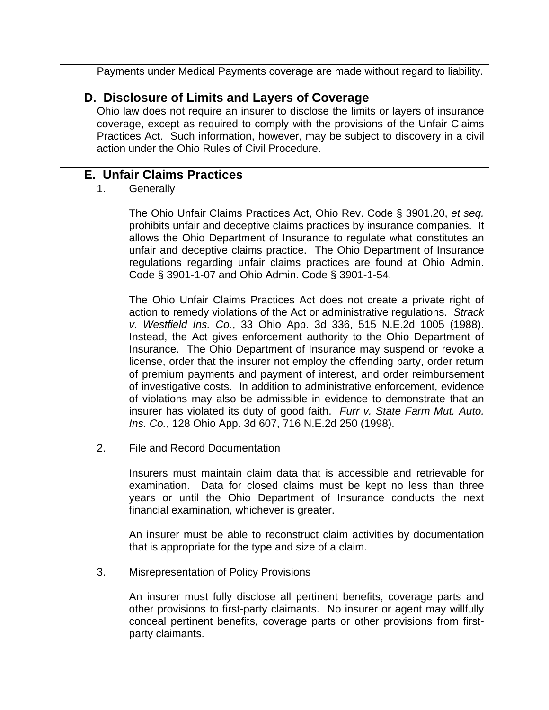Payments under Medical Payments coverage are made without regard to liability.

## **D. Disclosure of Limits and Layers of Coverage**

Ohio law does not require an insurer to disclose the limits or layers of insurance coverage, except as required to comply with the provisions of the Unfair Claims Practices Act. Such information, however, may be subject to discovery in a civil action under the Ohio Rules of Civil Procedure.

### **E. Unfair Claims Practices**

1. Generally

The Ohio Unfair Claims Practices Act, Ohio Rev. Code § 3901.20, *et seq.* prohibits unfair and deceptive claims practices by insurance companies. It allows the Ohio Department of Insurance to regulate what constitutes an unfair and deceptive claims practice. The Ohio Department of Insurance regulations regarding unfair claims practices are found at Ohio Admin. Code § 3901-1-07 and Ohio Admin. Code § 3901-1-54.

The Ohio Unfair Claims Practices Act does not create a private right of action to remedy violations of the Act or administrative regulations. *Strack v. Westfield Ins. Co.*, 33 Ohio App. 3d 336, 515 N.E.2d 1005 (1988). Instead, the Act gives enforcement authority to the Ohio Department of Insurance. The Ohio Department of Insurance may suspend or revoke a license, order that the insurer not employ the offending party, order return of premium payments and payment of interest, and order reimbursement of investigative costs. In addition to administrative enforcement, evidence of violations may also be admissible in evidence to demonstrate that an insurer has violated its duty of good faith. *Furr v. State Farm Mut. Auto. Ins. Co.*, 128 Ohio App. 3d 607, 716 N.E.2d 250 (1998).

2. File and Record Documentation

Insurers must maintain claim data that is accessible and retrievable for examination. Data for closed claims must be kept no less than three years or until the Ohio Department of Insurance conducts the next financial examination, whichever is greater.

An insurer must be able to reconstruct claim activities by documentation that is appropriate for the type and size of a claim.

3. Misrepresentation of Policy Provisions

An insurer must fully disclose all pertinent benefits, coverage parts and other provisions to first-party claimants. No insurer or agent may willfully conceal pertinent benefits, coverage parts or other provisions from firstparty claimants.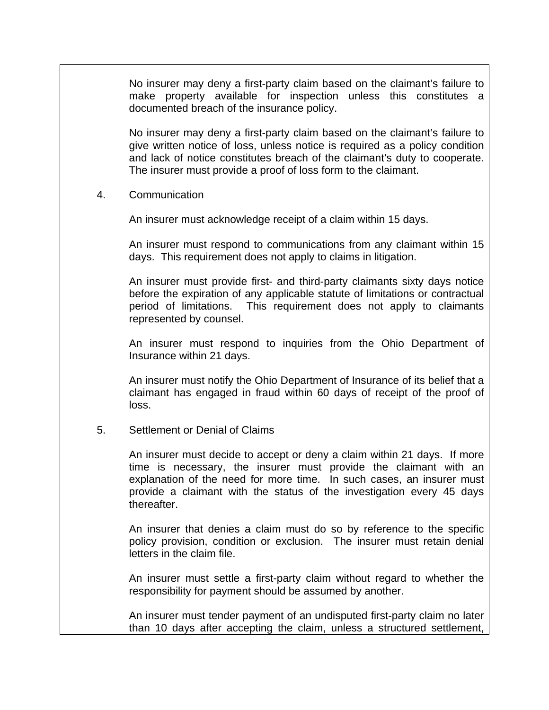No insurer may deny a first-party claim based on the claimant's failure to make property available for inspection unless this constitutes a documented breach of the insurance policy.

No insurer may deny a first-party claim based on the claimant's failure to give written notice of loss, unless notice is required as a policy condition and lack of notice constitutes breach of the claimant's duty to cooperate. The insurer must provide a proof of loss form to the claimant.

4. Communication

An insurer must acknowledge receipt of a claim within 15 days.

An insurer must respond to communications from any claimant within 15 days. This requirement does not apply to claims in litigation.

An insurer must provide first- and third-party claimants sixty days notice before the expiration of any applicable statute of limitations or contractual period of limitations. This requirement does not apply to claimants represented by counsel.

An insurer must respond to inquiries from the Ohio Department of Insurance within 21 days.

An insurer must notify the Ohio Department of Insurance of its belief that a claimant has engaged in fraud within 60 days of receipt of the proof of loss.

5. Settlement or Denial of Claims

An insurer must decide to accept or deny a claim within 21 days. If more time is necessary, the insurer must provide the claimant with an explanation of the need for more time. In such cases, an insurer must provide a claimant with the status of the investigation every 45 days thereafter.

An insurer that denies a claim must do so by reference to the specific policy provision, condition or exclusion. The insurer must retain denial letters in the claim file.

An insurer must settle a first-party claim without regard to whether the responsibility for payment should be assumed by another.

An insurer must tender payment of an undisputed first-party claim no later than 10 days after accepting the claim, unless a structured settlement,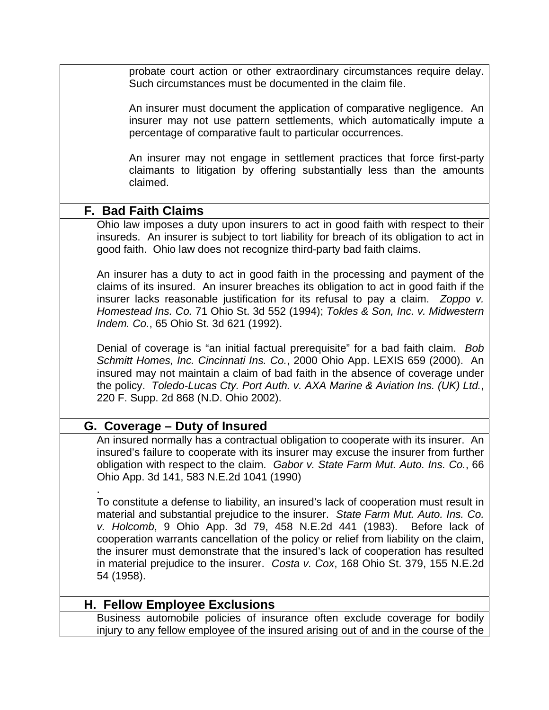probate court action or other extraordinary circumstances require delay. Such circumstances must be documented in the claim file.

An insurer must document the application of comparative negligence. An insurer may not use pattern settlements, which automatically impute a percentage of comparative fault to particular occurrences.

An insurer may not engage in settlement practices that force first-party claimants to litigation by offering substantially less than the amounts claimed.

## **F. Bad Faith Claims**

Ohio law imposes a duty upon insurers to act in good faith with respect to their insureds. An insurer is subject to tort liability for breach of its obligation to act in good faith. Ohio law does not recognize third-party bad faith claims.

An insurer has a duty to act in good faith in the processing and payment of the claims of its insured. An insurer breaches its obligation to act in good faith if the insurer lacks reasonable justification for its refusal to pay a claim. *Zoppo v. Homestead Ins. Co.* 71 Ohio St. 3d 552 (1994); *Tokles & Son, Inc. v. Midwestern Indem. Co.*, 65 Ohio St. 3d 621 (1992).

Denial of coverage is "an initial factual prerequisite" for a bad faith claim. *Bob Schmitt Homes, Inc. Cincinnati Ins. Co.*, 2000 Ohio App. LEXIS 659 (2000). An insured may not maintain a claim of bad faith in the absence of coverage under the policy. *Toledo-Lucas Cty. Port Auth. v. AXA Marine & Aviation Ins. (UK) Ltd.*, 220 F. Supp. 2d 868 (N.D. Ohio 2002).

# **G. Coverage – Duty of Insured**

.

An insured normally has a contractual obligation to cooperate with its insurer. An insured's failure to cooperate with its insurer may excuse the insurer from further obligation with respect to the claim. *Gabor v. State Farm Mut. Auto. Ins. Co.*, 66 Ohio App. 3d 141, 583 N.E.2d 1041 (1990)

To constitute a defense to liability, an insured's lack of cooperation must result in material and substantial prejudice to the insurer. *State Farm Mut. Auto. Ins. Co. v. Holcomb*, 9 Ohio App. 3d 79, 458 N.E.2d 441 (1983). Before lack of cooperation warrants cancellation of the policy or relief from liability on the claim, the insurer must demonstrate that the insured's lack of cooperation has resulted in material prejudice to the insurer. *Costa v. Cox*, 168 Ohio St. 379, 155 N.E.2d 54 (1958).

## **H. Fellow Employee Exclusions**

Business automobile policies of insurance often exclude coverage for bodily injury to any fellow employee of the insured arising out of and in the course of the